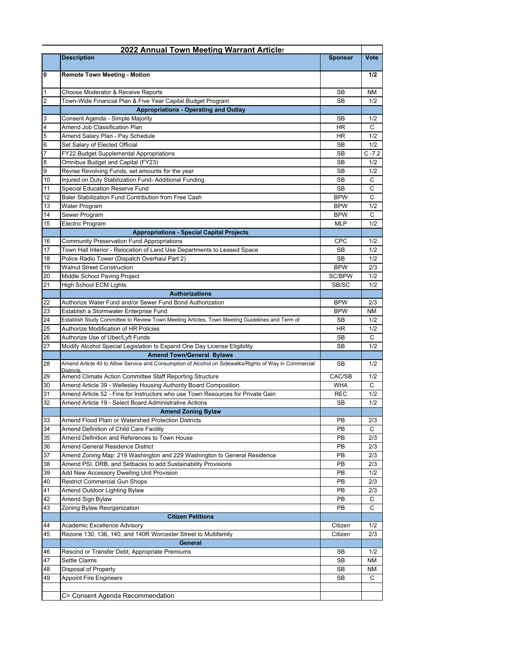|                       | 2022 Annual Town Meeting Warrant Articles                                                                                                      |                 |            |
|-----------------------|------------------------------------------------------------------------------------------------------------------------------------------------|-----------------|------------|
|                       | <b>Description</b>                                                                                                                             | <b>Sponsor</b>  | Vote       |
| 0                     | <b>Remote Town Meeting - Motion</b>                                                                                                            |                 | 1/2        |
| $\vert$ 1             | Choose Moderator & Receive Reports                                                                                                             | SB              | <b>NM</b>  |
| $\overline{2}$        | Town-Wide Financial Plan & Five Year Capital Budget Program                                                                                    | SB              | 1/2        |
|                       | <b>Appropriations - Operating and Outlay</b>                                                                                                   |                 |            |
| 3                     | Consent Agenda - Simple Majority                                                                                                               | <b>SB</b>       | 1/2        |
| $\overline{4}$        | Amend Job Classification Plan                                                                                                                  | HR              | C          |
| $\overline{5}$        | Amend Salary Plan - Pay Schedule                                                                                                               | <b>HR</b>       | 1/2        |
| $6\phantom{.}6$       | Set Salary of Elected Official                                                                                                                 | SB              | 1/2        |
| $\overline{7}$        | FY22 Budget Supplemental Appropriations                                                                                                        | SB              | $C - 7.2$  |
| $\boldsymbol{8}$<br>0 | Omnibus Budget and Capital (FY23)<br>Revise Revolving Funds, set amounts for the year                                                          | SB<br><b>SB</b> | 1/2<br>1/2 |
| 10                    | Injured on Duty Stabilization Fund- Additional Funding                                                                                         | <b>SB</b>       | C          |
| 11                    | Special Education Reserve Fund                                                                                                                 | <b>SB</b>       | C          |
| 12                    | Baler Stabilization Fund Contribution from Free Cash                                                                                           | <b>BPW</b>      | C          |
| 13                    | Water Program                                                                                                                                  | <b>BPW</b>      | 1/2        |
| 14                    | Sewer Program                                                                                                                                  | <b>BPW</b>      | C          |
| 15                    | Electric Program                                                                                                                               | <b>MLP</b>      | 1/2        |
|                       | <b>Appropriations - Special Capital Projects</b>                                                                                               |                 |            |
| 16                    | <b>Community Preservation Fund Appropriations</b>                                                                                              | CPC             | 1/2        |
| 17                    | Town Hall Interior - Relocation of Land Use Departments to Leased Space                                                                        | SB              | 1/2        |
| 18                    | Police Radio Tower (Dispatch Overhaul Part 2)                                                                                                  | SB              | 1/2        |
| 19                    | <b>Walnut Street Construction</b>                                                                                                              | <b>BPW</b>      | 2/3        |
| 20                    | Middle School Paving Project                                                                                                                   | SC/BPW          | 1/2        |
| 21                    | <b>High School ECM Lights</b>                                                                                                                  | SB/SC           | 1/2        |
|                       | <b>Authorizations</b>                                                                                                                          |                 |            |
| 22                    | Authorize Water Fund and/or Sewer Fund Bond Authorization                                                                                      | <b>BPW</b>      | 2/3        |
| 23                    | Establish a Stormwater Enterprise Fund                                                                                                         | <b>BPW</b>      | <b>NM</b>  |
| 24<br>25              | Establish Study Committee to Review Town Meeting Articles, Town Meeting Guidelines and Term of<br><b>Authorize Modification of HR Policies</b> | SB.<br>HR       | 1/2<br>1/2 |
| 26                    | Authorize Use of Uber/Lyft Funds                                                                                                               | SB              | C          |
| 27                    | Modify Alcohol Special Legislation to Expand One Day License Eligibility                                                                       | SB              | 1/2        |
|                       | <b>Amend Town/General Bylaws</b>                                                                                                               |                 |            |
| 28                    | Amend Article 40 to Allow Service and Consumption of Alcohol on Sidewalks/Rights of Way in Commercial<br><b>Districts</b>                      | SB              | 1/2        |
| 29                    | Amend Climate Action Committee Staff Reporting Structure                                                                                       | CAC/SB          | 1/2        |
| 30                    | Amend Article 39 - Wellesley Housing Authority Board Composition                                                                               | <b>WHA</b>      | C          |
| 31                    | Amend Article 52 - Fine for Instructors who use Town Resources for Private Gain                                                                | <b>REC</b>      | 1/2        |
| 32                    | Amend Article 19 - Select Board Administrative Actions                                                                                         | SB              | 1/2        |
|                       | <b>Amend Zoning Bylaw</b>                                                                                                                      |                 |            |
| 33<br>34              | Amend Flood Plain or Watershed Protection Districts                                                                                            | PB<br>PB        | 2/3<br>С   |
| 35                    | Amend Definition of Child Care Facility<br>Amend Definition and References to Town House                                                       | PB              | 2/3        |
| 36                    | Amend General Residence District                                                                                                               | PB              | 2/3        |
| 37                    | Amend Zoning Map: 219 Washington and 229 Washington to General Residence                                                                       | PB              | 2/3        |
| 38                    | Amend PSI, DRB, and Setbacks to add Sustainability Provisions                                                                                  | PB              | 2/3        |
| 39                    | Add New Accessory Dwelling Unit Provision                                                                                                      | PB              | 1/2        |
| 40                    | <b>Restrict Commercial Gun Shops</b>                                                                                                           | PB              | 2/3        |
| 41                    | Amend Outdoor Lighting Bylaw                                                                                                                   | PB              | 2/3        |
| 42                    | Amend Sign Bylaw                                                                                                                               | PB              | С          |
| 43                    | Zoning Bylaw Reorganization                                                                                                                    | PB              | C          |
|                       | <b>Citizen Petitions</b>                                                                                                                       |                 |            |
| 44                    | Academic Excellence Advisory                                                                                                                   | Citizen         | 1/2        |
| 45                    | Rezone 130, 136, 140, and 140R Worcester Street to Multifamily                                                                                 | Citizen         | 2/3        |
|                       | <b>General</b>                                                                                                                                 |                 |            |
| 46                    | Rescind or Transfer Debt; Appropriate Premiums                                                                                                 | SB              | 1/2        |
| 47                    | <b>Settle Claims</b>                                                                                                                           | <b>SB</b>       | NM         |
| 48                    | Disposal of Property                                                                                                                           | SB              | ΝM         |
| 49                    | <b>Appoint Fire Engineers</b>                                                                                                                  | SB              | C          |
|                       | C= Consent Agenda Recommendation                                                                                                               |                 |            |
|                       |                                                                                                                                                |                 |            |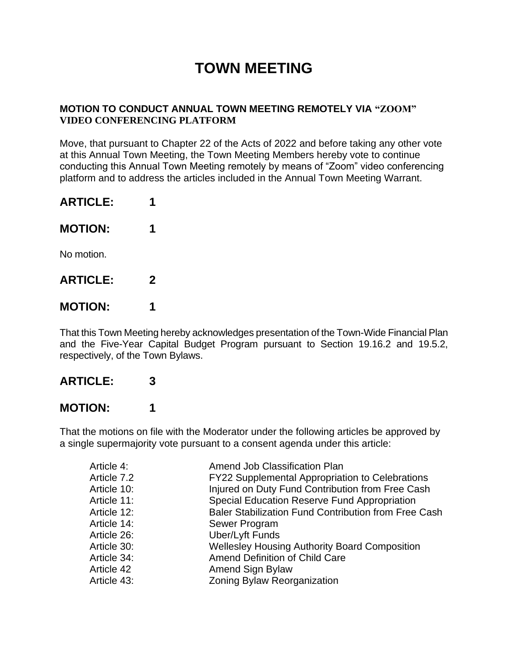# **TOWN MEETING**

#### **MOTION TO CONDUCT ANNUAL TOWN MEETING REMOTELY VIA "ZOOM" VIDEO CONFERENCING PLATFORM**

Move, that pursuant to Chapter 22 of the Acts of 2022 and before taking any other vote at this Annual Town Meeting, the Town Meeting Members hereby vote to continue conducting this Annual Town Meeting remotely by means of "Zoom" video conferencing platform and to address the articles included in the Annual Town Meeting Warrant.

| <b>ARTICLE:</b> |             |
|-----------------|-------------|
| <b>MOTION:</b>  | 1           |
| No motion.      |             |
| <b>ARTICLE:</b> | $\mathbf 2$ |
| <b>MOTION:</b>  |             |

That this Town Meeting hereby acknowledges presentation of the Town-Wide Financial Plan and the Five-Year Capital Budget Program pursuant to Section 19.16.2 and 19.5.2, respectively, of the Town Bylaws.

### **ARTICLE: 3**

### **MOTION: 1**

That the motions on file with the Moderator under the following articles be approved by a single supermajority vote pursuant to a consent agenda under this article:

| Amend Job Classification Plan                          |
|--------------------------------------------------------|
| <b>FY22 Supplemental Appropriation to Celebrations</b> |
| Injured on Duty Fund Contribution from Free Cash       |
| <b>Special Education Reserve Fund Appropriation</b>    |
| Baler Stabilization Fund Contribution from Free Cash   |
| Sewer Program                                          |
| <b>Uber/Lyft Funds</b>                                 |
| <b>Wellesley Housing Authority Board Composition</b>   |
| <b>Amend Definition of Child Care</b>                  |
| Amend Sign Bylaw                                       |
| Zoning Bylaw Reorganization                            |
|                                                        |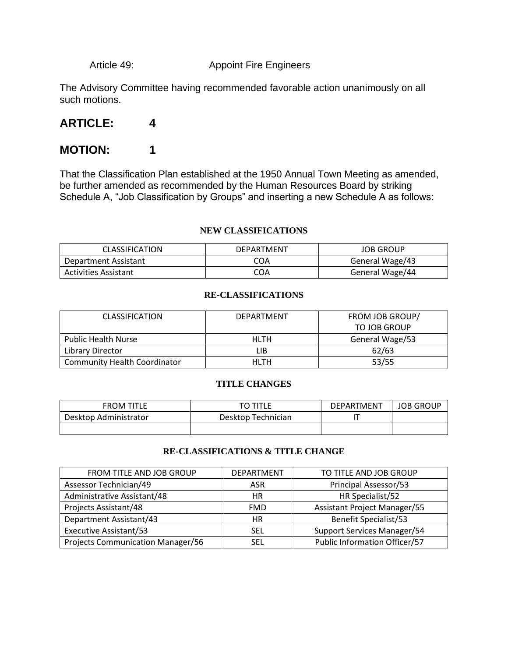Article 49: Appoint Fire Engineers

The Advisory Committee having recommended favorable action unanimously on all such motions.

#### **ARTICLE: 4**

#### **MOTION: 1**

That the Classification Plan established at the 1950 Annual Town Meeting as amended, be further amended as recommended by the Human Resources Board by striking Schedule A, "Job Classification by Groups" and inserting a new Schedule A as follows:

#### **NEW CLASSIFICATIONS**

| <b>CLASSIFICATION</b>       | DEPARTMENT | <b>JOB GROUP</b> |
|-----------------------------|------------|------------------|
| Department Assistant        | COA        | General Wage/43  |
| <b>Activities Assistant</b> | COA        | General Wage/44  |

#### **RE-CLASSIFICATIONS**

| <b>CLASSIFICATION</b>               | DEPARTMENT | FROM JOB GROUP/ |
|-------------------------------------|------------|-----------------|
|                                     |            | TO JOB GROUP    |
| <b>Public Health Nurse</b>          | HLTH       | General Wage/53 |
| Library Director                    | LIB        | 62/63           |
| <b>Community Health Coordinator</b> | HLTH       | 53/55           |

#### **TITLE CHANGES**

| FROM TITLE            | TO TITLE           | <b>DEPARTMENT</b> | <b>JOB GROUP</b> |
|-----------------------|--------------------|-------------------|------------------|
| Desktop Administrator | Desktop Technician |                   |                  |
|                       |                    |                   |                  |

#### **RE-CLASSIFICATIONS & TITLE CHANGE**

| FROM TITLE AND JOB GROUP                 | <b>DEPARTMENT</b> | TO TITLE AND JOB GROUP              |
|------------------------------------------|-------------------|-------------------------------------|
| Assessor Technician/49                   | ASR               | Principal Assessor/53               |
| Administrative Assistant/48              | НR                | HR Specialist/52                    |
| Projects Assistant/48                    | <b>FMD</b>        | <b>Assistant Project Manager/55</b> |
| Department Assistant/43                  | <b>HR</b>         | <b>Benefit Specialist/53</b>        |
| <b>Executive Assistant/53</b>            | <b>SEL</b>        | Support Services Manager/54         |
| <b>Projects Communication Manager/56</b> | <b>SEL</b>        | Public Information Officer/57       |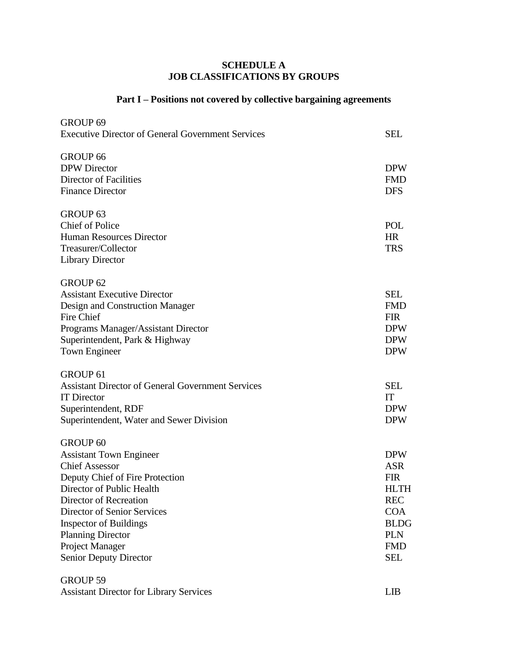#### **SCHEDULE A JOB CLASSIFICATIONS BY GROUPS**

#### **Part I – Positions not covered by collective bargaining agreements**

| GROUP <sub>69</sub><br><b>Executive Director of General Government Services</b>                                                                                                                                                                                                                                             | <b>SEL</b>                                                                                                                                 |
|-----------------------------------------------------------------------------------------------------------------------------------------------------------------------------------------------------------------------------------------------------------------------------------------------------------------------------|--------------------------------------------------------------------------------------------------------------------------------------------|
| <b>GROUP 66</b><br><b>DPW</b> Director<br>Director of Facilities<br><b>Finance Director</b>                                                                                                                                                                                                                                 | <b>DPW</b><br><b>FMD</b><br><b>DFS</b>                                                                                                     |
| GROUP <sub>63</sub><br><b>Chief of Police</b><br>Human Resources Director<br>Treasurer/Collector<br><b>Library Director</b>                                                                                                                                                                                                 | POL<br><b>HR</b><br><b>TRS</b>                                                                                                             |
| GROUP <sub>62</sub><br><b>Assistant Executive Director</b><br>Design and Construction Manager<br>Fire Chief<br>Programs Manager/Assistant Director<br>Superintendent, Park & Highway<br>Town Engineer                                                                                                                       | <b>SEL</b><br><b>FMD</b><br><b>FIR</b><br><b>DPW</b><br><b>DPW</b><br><b>DPW</b>                                                           |
| <b>GROUP 61</b><br><b>Assistant Director of General Government Services</b><br><b>IT Director</b><br>Superintendent, RDF<br>Superintendent, Water and Sewer Division                                                                                                                                                        | <b>SEL</b><br>IT<br><b>DPW</b><br><b>DPW</b>                                                                                               |
| <b>GROUP 60</b><br><b>Assistant Town Engineer</b><br><b>Chief Assessor</b><br>Deputy Chief of Fire Protection<br>Director of Public Health<br>Director of Recreation<br><b>Director of Senior Services</b><br><b>Inspector of Buildings</b><br><b>Planning Director</b><br>Project Manager<br><b>Senior Deputy Director</b> | <b>DPW</b><br><b>ASR</b><br><b>FIR</b><br><b>HLTH</b><br><b>REC</b><br><b>COA</b><br><b>BLDG</b><br><b>PLN</b><br><b>FMD</b><br><b>SEL</b> |

GROUP 59 Assistant Director for Library Services LIB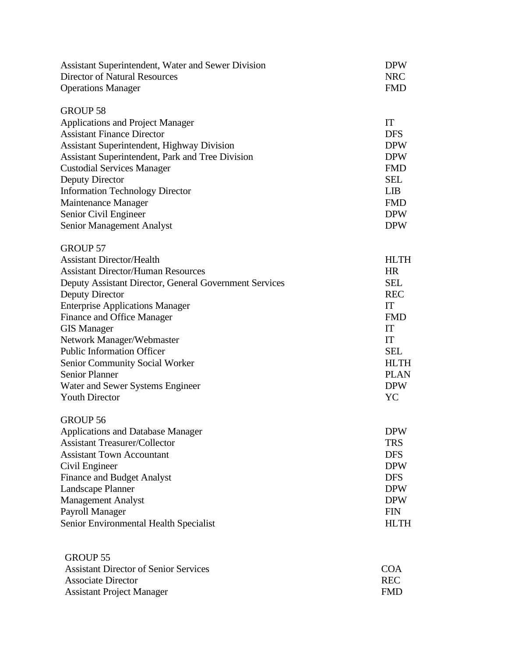| Assistant Superintendent, Water and Sewer Division<br><b>Director of Natural Resources</b><br><b>Operations Manager</b>                                                                                                                                                                                                                                                                                                                                                      | <b>DPW</b><br><b>NRC</b><br><b>FMD</b>                                                                                                        |
|------------------------------------------------------------------------------------------------------------------------------------------------------------------------------------------------------------------------------------------------------------------------------------------------------------------------------------------------------------------------------------------------------------------------------------------------------------------------------|-----------------------------------------------------------------------------------------------------------------------------------------------|
| <b>GROUP 58</b><br><b>Applications and Project Manager</b><br><b>Assistant Finance Director</b><br><b>Assistant Superintendent, Highway Division</b><br>Assistant Superintendent, Park and Tree Division<br><b>Custodial Services Manager</b><br><b>Deputy Director</b><br><b>Information Technology Director</b><br>Maintenance Manager<br>Senior Civil Engineer<br>Senior Management Analyst                                                                               | IT<br><b>DFS</b><br><b>DPW</b><br><b>DPW</b><br><b>FMD</b><br><b>SEL</b><br><b>LIB</b><br><b>FMD</b><br><b>DPW</b><br><b>DPW</b>              |
| <b>GROUP 57</b><br><b>Assistant Director/Health</b><br><b>Assistant Director/Human Resources</b><br>Deputy Assistant Director, General Government Services<br>Deputy Director<br><b>Enterprise Applications Manager</b><br>Finance and Office Manager<br><b>GIS Manager</b><br>Network Manager/Webmaster<br><b>Public Information Officer</b><br><b>Senior Community Social Worker</b><br><b>Senior Planner</b><br>Water and Sewer Systems Engineer<br><b>Youth Director</b> | <b>HLTH</b><br>HR<br><b>SEL</b><br><b>REC</b><br>IT<br><b>FMD</b><br>IT<br>IT<br><b>SEL</b><br><b>HLTH</b><br><b>PLAN</b><br><b>DPW</b><br>YC |
| <b>GROUP 56</b><br><b>Applications and Database Manager</b><br><b>Assistant Treasurer/Collector</b><br><b>Assistant Town Accountant</b><br>Civil Engineer<br><b>Finance and Budget Analyst</b><br>Landscape Planner<br><b>Management Analyst</b><br>Payroll Manager<br>Senior Environmental Health Specialist                                                                                                                                                                | <b>DPW</b><br><b>TRS</b><br><b>DFS</b><br><b>DPW</b><br><b>DFS</b><br><b>DPW</b><br><b>DPW</b><br><b>FIN</b><br><b>HLTH</b>                   |
| <b>GROUP 55</b><br><b>Assistant Director of Senior Services</b><br><b>Associate Director</b><br><b>Assistant Project Manager</b>                                                                                                                                                                                                                                                                                                                                             | <b>COA</b><br><b>REC</b><br><b>FMD</b>                                                                                                        |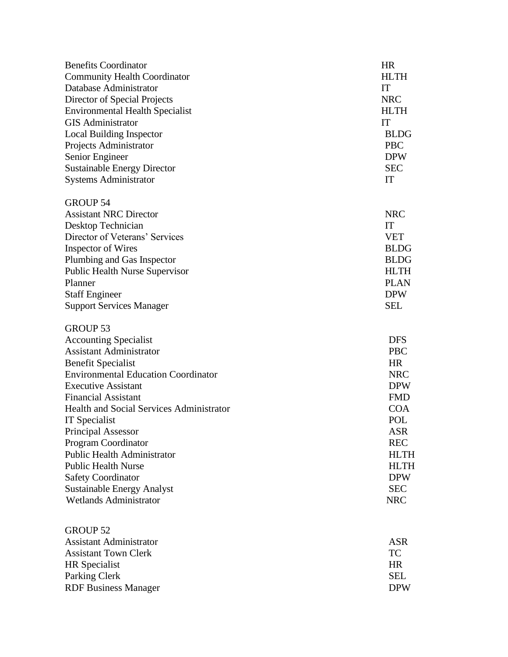| <b>Benefits Coordinator</b>                                        | <b>HR</b>                |
|--------------------------------------------------------------------|--------------------------|
| <b>Community Health Coordinator</b>                                | <b>HLTH</b>              |
| Database Administrator                                             | IT                       |
| Director of Special Projects                                       | <b>NRC</b>               |
| <b>Environmental Health Specialist</b>                             | <b>HLTH</b>              |
| <b>GIS</b> Administrator                                           | IT                       |
| <b>Local Building Inspector</b>                                    | <b>BLDG</b>              |
| Projects Administrator                                             | <b>PBC</b>               |
| Senior Engineer                                                    | <b>DPW</b>               |
| <b>Sustainable Energy Director</b>                                 | <b>SEC</b>               |
| <b>Systems Administrator</b>                                       | IT                       |
| <b>GROUP 54</b>                                                    |                          |
| <b>Assistant NRC Director</b>                                      | <b>NRC</b>               |
| Desktop Technician                                                 | IT                       |
| Director of Veterans' Services                                     | <b>VET</b>               |
| <b>Inspector of Wires</b>                                          | <b>BLDG</b>              |
| Plumbing and Gas Inspector                                         | <b>BLDG</b>              |
| <b>Public Health Nurse Supervisor</b>                              | <b>HLTH</b>              |
| Planner                                                            | <b>PLAN</b>              |
| <b>Staff Engineer</b>                                              | <b>DPW</b>               |
| <b>Support Services Manager</b>                                    | <b>SEL</b>               |
| <b>GROUP 53</b>                                                    |                          |
| <b>Accounting Specialist</b>                                       | <b>DFS</b>               |
| <b>Assistant Administrator</b>                                     | <b>PBC</b>               |
| <b>Benefit Specialist</b>                                          | <b>HR</b>                |
| <b>Environmental Education Coordinator</b>                         | <b>NRC</b>               |
| <b>Executive Assistant</b>                                         | <b>DPW</b>               |
| <b>Financial Assistant</b>                                         | <b>FMD</b>               |
| <b>Health and Social Services Administrator</b>                    | <b>COA</b>               |
| IT Specialist                                                      | POL                      |
| <b>Principal Assessor</b>                                          | <b>ASR</b>               |
| Program Coordinator                                                | <b>REC</b>               |
| <b>Public Health Administrator</b>                                 | <b>HLTH</b>              |
| <b>Public Health Nurse</b>                                         | <b>HLTH</b>              |
| <b>Safety Coordinator</b>                                          | <b>DPW</b>               |
| <b>Sustainable Energy Analyst</b><br><b>Wetlands Administrator</b> | <b>SEC</b><br><b>NRC</b> |
|                                                                    |                          |
| <b>GROUP 52</b>                                                    |                          |
| <b>Assistant Administrator</b>                                     | <b>ASR</b>               |
| <b>Assistant Town Clerk</b>                                        | TC                       |
| <b>HR</b> Specialist                                               | <b>HR</b>                |
| Parking Clerk                                                      | <b>SEL</b>               |
| <b>RDF Business Manager</b>                                        | <b>DPW</b>               |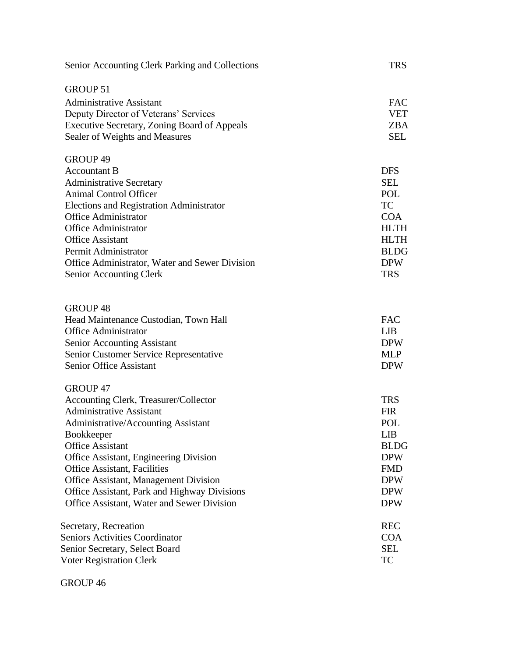| Senior Accounting Clerk Parking and Collections     | <b>TRS</b>  |
|-----------------------------------------------------|-------------|
| <b>GROUP 51</b>                                     |             |
| <b>Administrative Assistant</b>                     | <b>FAC</b>  |
| Deputy Director of Veterans' Services               | <b>VET</b>  |
| <b>Executive Secretary, Zoning Board of Appeals</b> | <b>ZBA</b>  |
| Sealer of Weights and Measures                      | <b>SEL</b>  |
|                                                     |             |
| GROUP 49                                            |             |
| <b>Accountant B</b>                                 | <b>DFS</b>  |
| <b>Administrative Secretary</b>                     | <b>SEL</b>  |
| <b>Animal Control Officer</b>                       | POL         |
| <b>Elections and Registration Administrator</b>     | <b>TC</b>   |
| <b>Office Administrator</b>                         | <b>COA</b>  |
| <b>Office Administrator</b>                         | <b>HLTH</b> |
| <b>Office Assistant</b>                             | <b>HLTH</b> |
| Permit Administrator                                | <b>BLDG</b> |
| Office Administrator, Water and Sewer Division      | <b>DPW</b>  |
| <b>Senior Accounting Clerk</b>                      | <b>TRS</b>  |
|                                                     |             |
| <b>GROUP 48</b>                                     |             |
| Head Maintenance Custodian, Town Hall               | <b>FAC</b>  |
| <b>Office Administrator</b>                         | <b>LIB</b>  |
| <b>Senior Accounting Assistant</b>                  | <b>DPW</b>  |
| Senior Customer Service Representative              | <b>MLP</b>  |
| <b>Senior Office Assistant</b>                      | <b>DPW</b>  |
|                                                     |             |
| GROUP 47                                            |             |
| Accounting Clerk, Treasurer/Collector               | <b>TRS</b>  |
| <b>Administrative Assistant</b>                     | <b>FIR</b>  |
| <b>Administrative/Accounting Assistant</b>          | <b>POL</b>  |
| <b>Bookkeeper</b>                                   | LIB         |
| <b>Office Assistant</b>                             | <b>BLDG</b> |
| <b>Office Assistant, Engineering Division</b>       | <b>DPW</b>  |
| <b>Office Assistant, Facilities</b>                 | <b>FMD</b>  |
| Office Assistant, Management Division               | <b>DPW</b>  |
| Office Assistant, Park and Highway Divisions        | <b>DPW</b>  |
| Office Assistant, Water and Sewer Division          | <b>DPW</b>  |
| Secretary, Recreation                               | <b>REC</b>  |
| <b>Seniors Activities Coordinator</b>               | <b>COA</b>  |
| Senior Secretary, Select Board                      | <b>SEL</b>  |
| <b>Voter Registration Clerk</b>                     | <b>TC</b>   |
|                                                     |             |

GROUP 46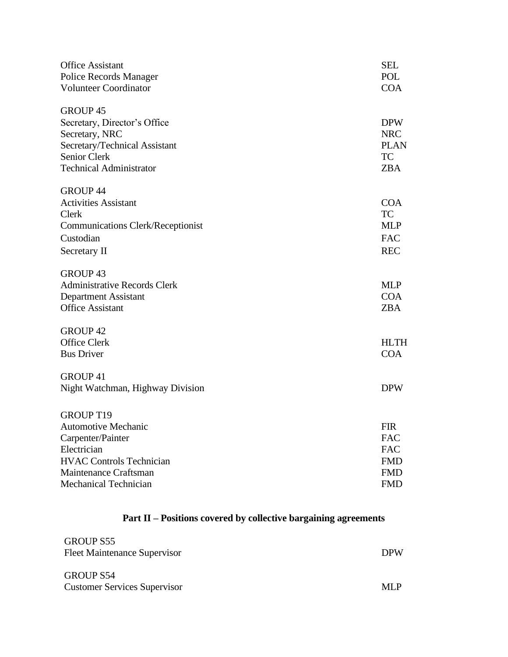| <b>Office Assistant</b><br>Police Records Manager<br><b>Volunteer Coordinator</b>                                                                    | <b>SEL</b><br><b>POL</b><br><b>COA</b>                             |
|------------------------------------------------------------------------------------------------------------------------------------------------------|--------------------------------------------------------------------|
| <b>GROUP 45</b><br>Secretary, Director's Office<br>Secretary, NRC<br>Secretary/Technical Assistant<br>Senior Clerk<br><b>Technical Administrator</b> | <b>DPW</b><br><b>NRC</b><br><b>PLAN</b><br><b>TC</b><br><b>ZBA</b> |
| <b>GROUP 44</b><br><b>Activities Assistant</b><br>Clerk<br><b>Communications Clerk/Receptionist</b><br>Custodian<br>Secretary II                     | <b>COA</b><br><b>TC</b><br><b>MLP</b><br><b>FAC</b><br><b>REC</b>  |
| <b>GROUP 43</b><br><b>Administrative Records Clerk</b><br><b>Department Assistant</b><br><b>Office Assistant</b>                                     | <b>MLP</b><br><b>COA</b><br><b>ZBA</b>                             |
| <b>GROUP 42</b><br><b>Office Clerk</b><br><b>Bus Driver</b>                                                                                          | <b>HLTH</b><br><b>COA</b>                                          |
| <b>GROUP 41</b><br>Night Watchman, Highway Division                                                                                                  | <b>DPW</b>                                                         |
| <b>GROUP T19</b><br><b>Automotive Mechanic</b><br>Carpenter/Painter<br>Electrician<br><b>HVAC Controls Technician</b><br>Maintenance Craftsman       | <b>FIR</b><br><b>FAC</b><br><b>FAC</b><br><b>FMD</b><br><b>FMD</b> |
| <b>Mechanical Technician</b>                                                                                                                         | <b>FMD</b>                                                         |

## **Part II – Positions covered by collective bargaining agreements**

| <b>GROUP S55</b><br><b>Fleet Maintenance Supervisor</b> | <b>DPW</b> |
|---------------------------------------------------------|------------|
| <b>GROUP S54</b><br><b>Customer Services Supervisor</b> | ML P       |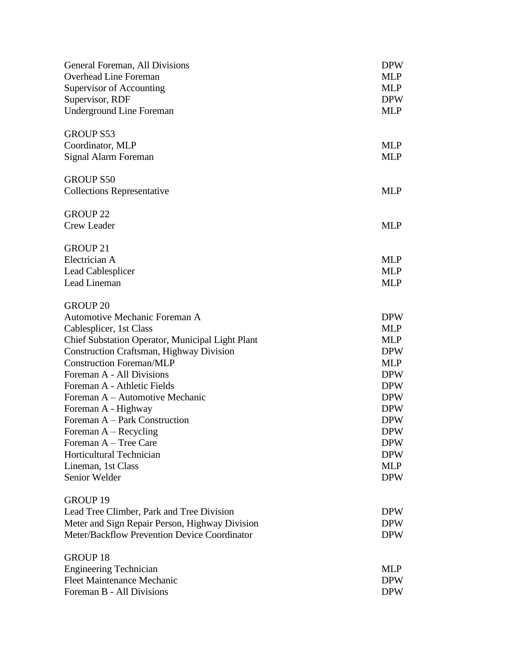| General Foreman, All Divisions                   | <b>DPW</b> |
|--------------------------------------------------|------------|
| <b>Overhead Line Foreman</b>                     | <b>MLP</b> |
| Supervisor of Accounting                         | <b>MLP</b> |
| Supervisor, RDF                                  | <b>DPW</b> |
| <b>Underground Line Foreman</b>                  | <b>MLP</b> |
| <b>GROUP S53</b>                                 |            |
| Coordinator, MLP                                 | <b>MLP</b> |
| Signal Alarm Foreman                             | <b>MLP</b> |
| <b>GROUP S50</b>                                 |            |
| <b>Collections Representative</b>                | <b>MLP</b> |
| <b>GROUP 22</b>                                  |            |
| <b>Crew Leader</b>                               | <b>MLP</b> |
| <b>GROUP 21</b>                                  |            |
| Electrician A                                    | <b>MLP</b> |
| <b>Lead Cablesplicer</b>                         | <b>MLP</b> |
| Lead Lineman                                     | <b>MLP</b> |
| <b>GROUP 20</b>                                  |            |
| Automotive Mechanic Foreman A                    | <b>DPW</b> |
| Cablesplicer, 1st Class                          | <b>MLP</b> |
| Chief Substation Operator, Municipal Light Plant | <b>MLP</b> |
| <b>Construction Craftsman, Highway Division</b>  | <b>DPW</b> |
| <b>Construction Foreman/MLP</b>                  | <b>MLP</b> |
| Foreman A - All Divisions                        | <b>DPW</b> |
| Foreman A - Athletic Fields                      | <b>DPW</b> |
| Foreman A - Automotive Mechanic                  | <b>DPW</b> |
| Foreman A - Highway                              | <b>DPW</b> |
| Foreman A – Park Construction                    | <b>DPW</b> |
| Foreman $A - Recycling$                          | <b>DPW</b> |
| Foreman A - Tree Care                            | <b>DPW</b> |
| <b>Horticultural Technician</b>                  | <b>DPW</b> |
| Lineman, 1st Class                               | <b>MLP</b> |
| Senior Welder                                    | <b>DPW</b> |
| <b>GROUP 19</b>                                  |            |
| Lead Tree Climber, Park and Tree Division        | <b>DPW</b> |
| Meter and Sign Repair Person, Highway Division   | <b>DPW</b> |
| Meter/Backflow Prevention Device Coordinator     | <b>DPW</b> |
| <b>GROUP 18</b>                                  |            |
| <b>Engineering Technician</b>                    | <b>MLP</b> |
| Fleet Maintenance Mechanic                       | <b>DPW</b> |
| Foreman B - All Divisions                        | <b>DPW</b> |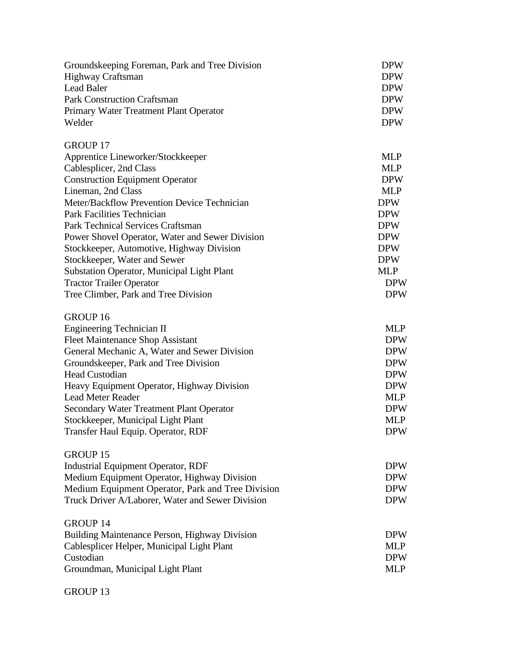| Groundskeeping Foreman, Park and Tree Division<br>Highway Craftsman<br><b>Lead Baler</b><br><b>Park Construction Craftsman</b><br>Primary Water Treatment Plant Operator<br>Welder | <b>DPW</b><br><b>DPW</b><br><b>DPW</b><br><b>DPW</b><br><b>DPW</b><br><b>DPW</b> |
|------------------------------------------------------------------------------------------------------------------------------------------------------------------------------------|----------------------------------------------------------------------------------|
| <b>GROUP 17</b><br>Apprentice Lineworker/Stockkeeper                                                                                                                               | <b>MLP</b>                                                                       |
| Cablesplicer, 2nd Class                                                                                                                                                            | <b>MLP</b>                                                                       |
| <b>Construction Equipment Operator</b>                                                                                                                                             | <b>DPW</b>                                                                       |
| Lineman, 2nd Class                                                                                                                                                                 | <b>MLP</b>                                                                       |
| Meter/Backflow Prevention Device Technician                                                                                                                                        | <b>DPW</b>                                                                       |
| <b>Park Facilities Technician</b>                                                                                                                                                  | <b>DPW</b>                                                                       |
| <b>Park Technical Services Craftsman</b>                                                                                                                                           | <b>DPW</b>                                                                       |
| Power Shovel Operator, Water and Sewer Division                                                                                                                                    | <b>DPW</b>                                                                       |
| Stockkeeper, Automotive, Highway Division                                                                                                                                          | <b>DPW</b>                                                                       |
| Stockkeeper, Water and Sewer                                                                                                                                                       | <b>DPW</b>                                                                       |
| <b>Substation Operator, Municipal Light Plant</b>                                                                                                                                  | <b>MLP</b>                                                                       |
| <b>Tractor Trailer Operator</b>                                                                                                                                                    | <b>DPW</b>                                                                       |
| Tree Climber, Park and Tree Division                                                                                                                                               | <b>DPW</b>                                                                       |
| <b>GROUP 16</b>                                                                                                                                                                    |                                                                                  |
| <b>Engineering Technician II</b>                                                                                                                                                   | <b>MLP</b>                                                                       |
| <b>Fleet Maintenance Shop Assistant</b>                                                                                                                                            | <b>DPW</b>                                                                       |
| General Mechanic A, Water and Sewer Division                                                                                                                                       | <b>DPW</b>                                                                       |
| Groundskeeper, Park and Tree Division                                                                                                                                              | <b>DPW</b>                                                                       |
| <b>Head Custodian</b>                                                                                                                                                              | <b>DPW</b>                                                                       |
| Heavy Equipment Operator, Highway Division                                                                                                                                         | <b>DPW</b>                                                                       |
| <b>Lead Meter Reader</b>                                                                                                                                                           | <b>MLP</b>                                                                       |
| Secondary Water Treatment Plant Operator                                                                                                                                           | <b>DPW</b>                                                                       |
| Stockkeeper, Municipal Light Plant                                                                                                                                                 | <b>MLP</b>                                                                       |
| Transfer Haul Equip. Operator, RDF                                                                                                                                                 | <b>DPW</b>                                                                       |
| <b>GROUP 15</b>                                                                                                                                                                    |                                                                                  |
| <b>Industrial Equipment Operator, RDF</b>                                                                                                                                          | <b>DPW</b>                                                                       |
| Medium Equipment Operator, Highway Division                                                                                                                                        | <b>DPW</b>                                                                       |
| Medium Equipment Operator, Park and Tree Division                                                                                                                                  | <b>DPW</b>                                                                       |
| Truck Driver A/Laborer, Water and Sewer Division                                                                                                                                   | <b>DPW</b>                                                                       |
| <b>GROUP 14</b>                                                                                                                                                                    |                                                                                  |
| Building Maintenance Person, Highway Division                                                                                                                                      | <b>DPW</b>                                                                       |
| Cablesplicer Helper, Municipal Light Plant                                                                                                                                         | <b>MLP</b>                                                                       |
| Custodian                                                                                                                                                                          | <b>DPW</b>                                                                       |
| Groundman, Municipal Light Plant                                                                                                                                                   | <b>MLP</b>                                                                       |
|                                                                                                                                                                                    |                                                                                  |

GROUP 13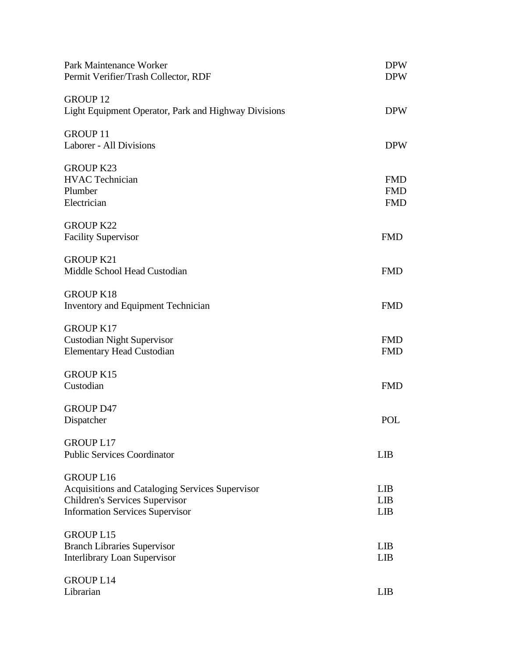| Park Maintenance Worker<br>Permit Verifier/Trash Collector, RDF                                                                                        | <b>DPW</b><br><b>DPW</b>               |
|--------------------------------------------------------------------------------------------------------------------------------------------------------|----------------------------------------|
| <b>GROUP 12</b><br>Light Equipment Operator, Park and Highway Divisions                                                                                | <b>DPW</b>                             |
| <b>GROUP 11</b><br>Laborer - All Divisions                                                                                                             | <b>DPW</b>                             |
| <b>GROUP K23</b><br><b>HVAC</b> Technician<br>Plumber<br>Electrician                                                                                   | <b>FMD</b><br><b>FMD</b><br><b>FMD</b> |
| <b>GROUP K22</b><br><b>Facility Supervisor</b>                                                                                                         | <b>FMD</b>                             |
| <b>GROUP K21</b><br>Middle School Head Custodian                                                                                                       | <b>FMD</b>                             |
| <b>GROUP K18</b><br>Inventory and Equipment Technician                                                                                                 | <b>FMD</b>                             |
| <b>GROUP K17</b><br><b>Custodian Night Supervisor</b><br><b>Elementary Head Custodian</b>                                                              | <b>FMD</b><br><b>FMD</b>               |
| <b>GROUP K15</b><br>Custodian                                                                                                                          | <b>FMD</b>                             |
| <b>GROUP D47</b><br>Dispatcher                                                                                                                         | POL                                    |
| <b>GROUP L17</b><br><b>Public Services Coordinator</b>                                                                                                 | <b>LIB</b>                             |
| <b>GROUP L16</b><br>Acquisitions and Cataloging Services Supervisor<br><b>Children's Services Supervisor</b><br><b>Information Services Supervisor</b> | <b>LIB</b><br><b>LIB</b><br><b>LIB</b> |
| <b>GROUP L15</b><br><b>Branch Libraries Supervisor</b><br><b>Interlibrary Loan Supervisor</b>                                                          | <b>LIB</b><br>LIB                      |
| <b>GROUP L14</b><br>Librarian                                                                                                                          | LIB                                    |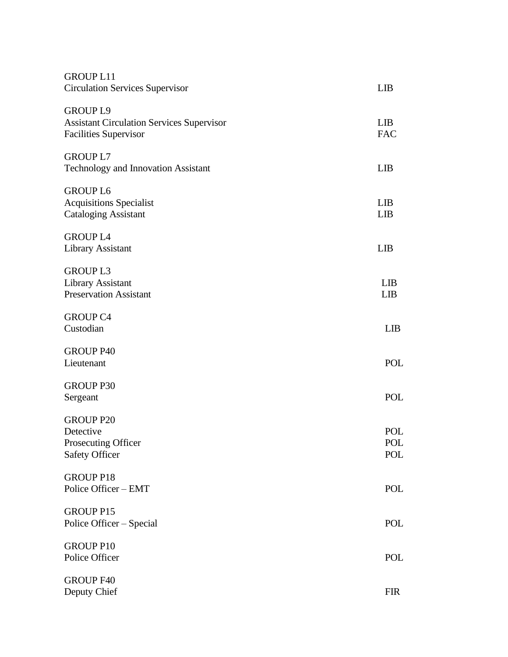| <b>GROUP L11</b><br><b>Circulation Services Supervisor</b>                                          | <b>LIB</b>               |
|-----------------------------------------------------------------------------------------------------|--------------------------|
| <b>GROUP L9</b><br><b>Assistant Circulation Services Supervisor</b><br><b>Facilities Supervisor</b> | <b>LIB</b><br><b>FAC</b> |
| <b>GROUP L7</b><br>Technology and Innovation Assistant                                              | <b>LIB</b>               |
| <b>GROUP L6</b><br><b>Acquisitions Specialist</b><br><b>Cataloging Assistant</b>                    | <b>LIB</b><br><b>LIB</b> |
| <b>GROUP L4</b><br><b>Library Assistant</b>                                                         | <b>LIB</b>               |
| <b>GROUPL3</b><br><b>Library Assistant</b><br><b>Preservation Assistant</b>                         | <b>LIB</b><br><b>LIB</b> |
| <b>GROUP C4</b><br>Custodian                                                                        | <b>LIB</b>               |
| <b>GROUP P40</b><br>Lieutenant                                                                      | POL                      |
| <b>GROUP P30</b><br>Sergeant                                                                        | <b>POL</b>               |
| <b>GROUP P20</b><br>Detective<br>Prosecuting Officer<br><b>Safety Officer</b>                       | POL<br>POL<br>POL        |
| <b>GROUP P18</b><br>Police Officer - EMT                                                            | POL                      |
| <b>GROUP P15</b><br>Police Officer - Special                                                        | POL                      |
| <b>GROUP P10</b><br>Police Officer                                                                  | POL                      |
| <b>GROUP F40</b><br>Deputy Chief                                                                    | <b>FIR</b>               |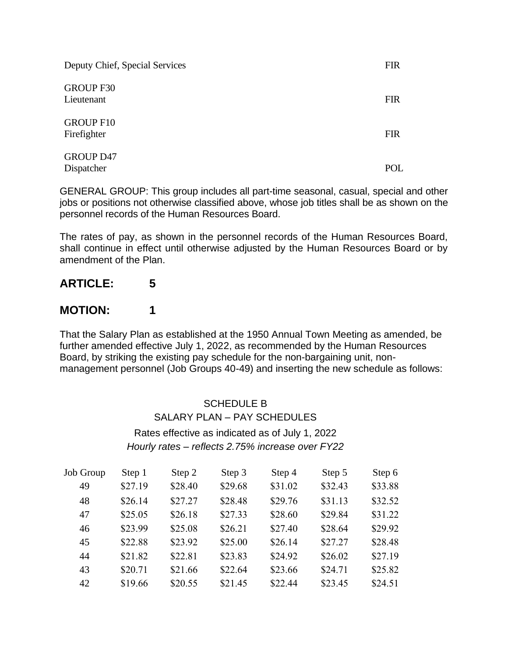| Deputy Chief, Special Services  | <b>FIR</b> |
|---------------------------------|------------|
| <b>GROUP F30</b><br>Lieutenant  | <b>FIR</b> |
| <b>GROUP F10</b><br>Firefighter | <b>FIR</b> |
| <b>GROUP D47</b><br>Dispatcher  | POL        |

GENERAL GROUP: This group includes all part-time seasonal, casual, special and other jobs or positions not otherwise classified above, whose job titles shall be as shown on the personnel records of the Human Resources Board.

The rates of pay, as shown in the personnel records of the Human Resources Board, shall continue in effect until otherwise adjusted by the Human Resources Board or by amendment of the Plan.

# **ARTICLE: 5**

#### **MOTION: 1**

That the Salary Plan as established at the 1950 Annual Town Meeting as amended, be further amended effective July 1, 2022, as recommended by the Human Resources Board, by striking the existing pay schedule for the non-bargaining unit, nonmanagement personnel (Job Groups 40-49) and inserting the new schedule as follows:

> SCHEDULE B SALARY PLAN – PAY SCHEDULES Rates effective as indicated as of July 1, 2022 *Hourly rates – reflects 2.75% increase over FY22*

| Job Group | Step 1  | Step 2  | Step 3  | Step 4  | Step 5  | Step 6  |
|-----------|---------|---------|---------|---------|---------|---------|
| 49        | \$27.19 | \$28.40 | \$29.68 | \$31.02 | \$32.43 | \$33.88 |
| 48        | \$26.14 | \$27.27 | \$28.48 | \$29.76 | \$31.13 | \$32.52 |
| 47        | \$25.05 | \$26.18 | \$27.33 | \$28.60 | \$29.84 | \$31.22 |
| 46        | \$23.99 | \$25.08 | \$26.21 | \$27.40 | \$28.64 | \$29.92 |
| 45        | \$22.88 | \$23.92 | \$25.00 | \$26.14 | \$27.27 | \$28.48 |
| 44        | \$21.82 | \$22.81 | \$23.83 | \$24.92 | \$26.02 | \$27.19 |
| 43        | \$20.71 | \$21.66 | \$22.64 | \$23.66 | \$24.71 | \$25.82 |
| 42        | \$19.66 | \$20.55 | \$21.45 | \$22.44 | \$23.45 | \$24.51 |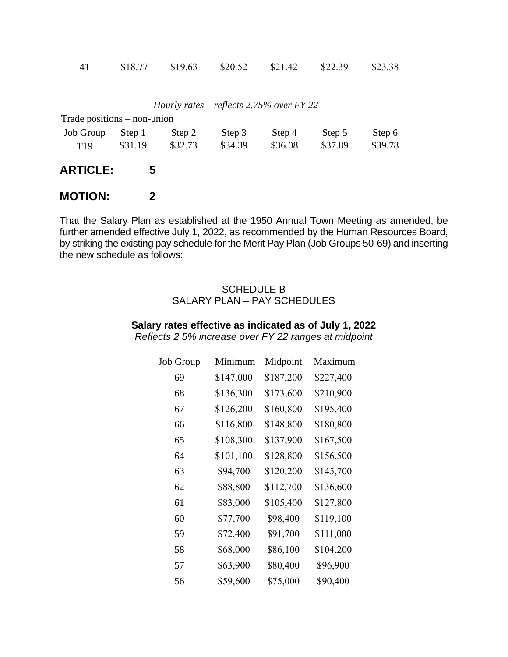| -41 | \$18.77 | \$19.63 | \$20.52 | \$21.42 | \$22.39 | \$23.38 |
|-----|---------|---------|---------|---------|---------|---------|
|     |         |         |         |         |         |         |

| Hourly rates – reflects 2.75% over $FY$ 22 |  |  |  |  |  |  |  |
|--------------------------------------------|--|--|--|--|--|--|--|
|--------------------------------------------|--|--|--|--|--|--|--|

| Trade positions $-$ non-union |         |         |         |         |         |         |
|-------------------------------|---------|---------|---------|---------|---------|---------|
| <b>Job Group</b>              | Step 1  | Step 2  | Step 3  | Step 4  | Step 5  | Step 6  |
| T <sub>19</sub>               | \$31.19 | \$32.73 | \$34.39 | \$36.08 | \$37.89 | \$39.78 |
| <b>ARTICLE:</b>               | 5       |         |         |         |         |         |

#### **MOTION: 2**

That the Salary Plan as established at the 1950 Annual Town Meeting as amended, be further amended effective July 1, 2022, as recommended by the Human Resources Board, by striking the existing pay schedule for the Merit Pay Plan (Job Groups 50-69) and inserting the new schedule as follows:

#### SCHEDULE B SALARY PLAN – PAY SCHEDULES

#### **Salary rates effective as indicated as of July 1, 2022** *Reflects 2.5% increase over FY 22 ranges at midpoint*

| Job Group | Minimum   | Midpoint  | Maximum   |
|-----------|-----------|-----------|-----------|
| 69        | \$147,000 | \$187,200 | \$227,400 |
| 68        | \$136,300 | \$173,600 | \$210,900 |
| 67        | \$126,200 | \$160,800 | \$195,400 |
| 66        | \$116,800 | \$148,800 | \$180,800 |
| 65        | \$108,300 | \$137,900 | \$167,500 |
| 64        | \$101,100 | \$128,800 | \$156,500 |
| 63        | \$94,700  | \$120,200 | \$145,700 |
| 62        | \$88,800  | \$112,700 | \$136,600 |
| 61        | \$83,000  | \$105,400 | \$127,800 |
| 60        | \$77,700  | \$98,400  | \$119,100 |
| 59        | \$72,400  | \$91,700  | \$111,000 |
| 58        | \$68,000  | \$86,100  | \$104,200 |
| 57        | \$63,900  | \$80,400  | \$96,900  |
| 56        | \$59,600  | \$75,000  | \$90,400  |
|           |           |           |           |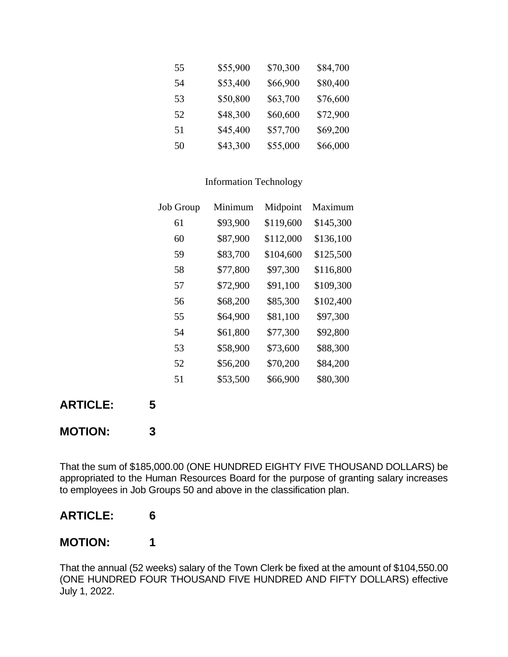| 55 | \$55,900 | \$70,300 | \$84,700 |
|----|----------|----------|----------|
| 54 | \$53,400 | \$66,900 | \$80,400 |
| 53 | \$50,800 | \$63,700 | \$76,600 |
| 52 | \$48,300 | \$60,600 | \$72,900 |
| 51 | \$45,400 | \$57,700 | \$69,200 |
| 50 | \$43,300 | \$55,000 | \$66,000 |

#### Information Technology

| Job Group | Minimum  | Midpoint  | Maximum   |
|-----------|----------|-----------|-----------|
| 61        | \$93,900 | \$119,600 | \$145,300 |
| 60        | \$87,900 | \$112,000 | \$136,100 |
| 59        | \$83,700 | \$104,600 | \$125,500 |
| 58        | \$77,800 | \$97,300  | \$116,800 |
| 57        | \$72,900 | \$91,100  | \$109,300 |
| 56        | \$68,200 | \$85,300  | \$102,400 |
| 55        | \$64,900 | \$81,100  | \$97,300  |
| 54        | \$61,800 | \$77,300  | \$92,800  |
| 53        | \$58,900 | \$73,600  | \$88,300  |
| 52        | \$56,200 | \$70,200  | \$84,200  |
| 51        | \$53,500 | \$66,900  | \$80,300  |

**ARTICLE: 5**

### **MOTION: 3**

That the sum of \$185,000.00 (ONE HUNDRED EIGHTY FIVE THOUSAND DOLLARS) be appropriated to the Human Resources Board for the purpose of granting salary increases to employees in Job Groups 50 and above in the classification plan.

### **ARTICLE: 6**

### **MOTION: 1**

That the annual (52 weeks) salary of the Town Clerk be fixed at the amount of \$104,550.00 (ONE HUNDRED FOUR THOUSAND FIVE HUNDRED AND FIFTY DOLLARS) effective July 1, 2022.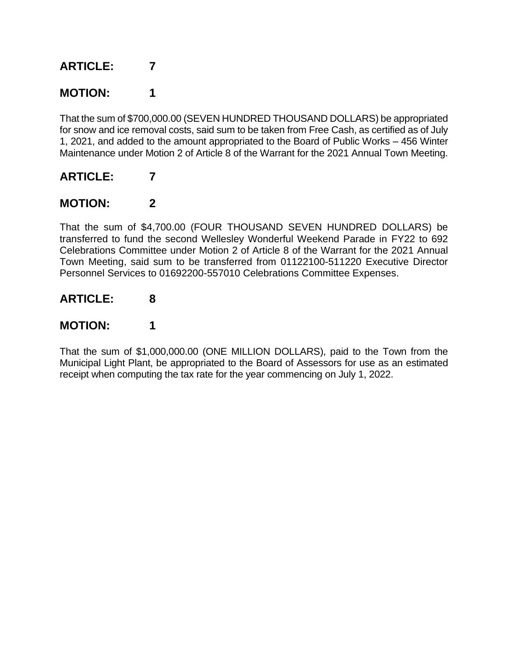## **MOTION: 1**

That the sum of \$700,000.00 (SEVEN HUNDRED THOUSAND DOLLARS) be appropriated for snow and ice removal costs, said sum to be taken from Free Cash, as certified as of July 1, 2021, and added to the amount appropriated to the Board of Public Works – 456 Winter Maintenance under Motion 2 of Article 8 of the Warrant for the 2021 Annual Town Meeting.

### **ARTICLE: 7**

### **MOTION: 2**

That the sum of \$4,700.00 (FOUR THOUSAND SEVEN HUNDRED DOLLARS) be transferred to fund the second Wellesley Wonderful Weekend Parade in FY22 to 692 Celebrations Committee under Motion 2 of Article 8 of the Warrant for the 2021 Annual Town Meeting, said sum to be transferred from 01122100-511220 Executive Director Personnel Services to 01692200-557010 Celebrations Committee Expenses.

### **ARTICLE: 8**

## **MOTION: 1**

That the sum of \$1,000,000.00 (ONE MILLION DOLLARS), paid to the Town from the Municipal Light Plant, be appropriated to the Board of Assessors for use as an estimated receipt when computing the tax rate for the year commencing on July 1, 2022.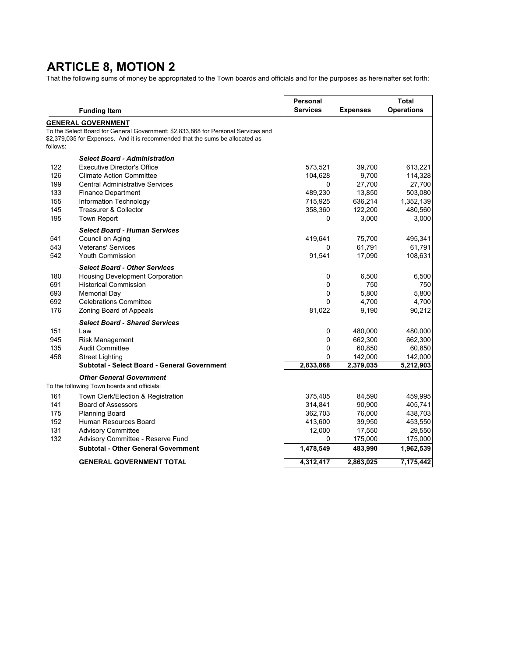### **ARTICLE 8, MOTION 2**

That the following sums of money be appropriated to the Town boards and officials and for the purposes as hereinafter set forth:

|          |                                                                                   | Personal        |                 | Total             |
|----------|-----------------------------------------------------------------------------------|-----------------|-----------------|-------------------|
|          | <b>Funding Item</b>                                                               | <b>Services</b> | <b>Expenses</b> | <b>Operations</b> |
|          | <b>GENERAL GOVERNMENT</b>                                                         |                 |                 |                   |
|          | To the Select Board for General Government; \$2,833,868 for Personal Services and |                 |                 |                   |
| follows: | \$2,379,035 for Expenses. And it is recommended that the sums be allocated as     |                 |                 |                   |
|          |                                                                                   |                 |                 |                   |
|          | <b>Select Board - Administration</b>                                              |                 |                 |                   |
| 122      | <b>Executive Director's Office</b>                                                | 573,521         | 39,700          | 613,221           |
| 126      | <b>Climate Action Committee</b>                                                   | 104,628         | 9,700           | 114,328           |
| 199      | <b>Central Administrative Services</b>                                            | 0               | 27,700          | 27,700            |
| 133      | <b>Finance Department</b>                                                         | 489,230         | 13,850          | 503,080           |
| 155      | Information Technology                                                            | 715,925         | 636,214         | 1,352,139         |
| 145      | <b>Treasurer &amp; Collector</b>                                                  | 358,360         | 122,200         | 480,560           |
| 195      | <b>Town Report</b>                                                                | 0               | 3,000           | 3,000             |
|          | <b>Select Board - Human Services</b>                                              |                 |                 |                   |
| 541      | Council on Aging                                                                  | 419,641         | 75,700          | 495,341           |
| 543      | <b>Veterans' Services</b>                                                         | 0               | 61,791          | 61,791            |
| 542      | <b>Youth Commission</b>                                                           | 91,541          | 17,090          | 108,631           |
|          | <b>Select Board - Other Services</b>                                              |                 |                 |                   |
| 180      | <b>Housing Development Corporation</b>                                            | 0               | 6,500           | 6,500             |
| 691      | <b>Historical Commission</b>                                                      | 0               | 750             | 750               |
| 693      | <b>Memorial Day</b>                                                               | 0               | 5,800           | 5,800             |
| 692      | <b>Celebrations Committee</b>                                                     | 0               | 4,700           | 4,700             |
| 176      | Zoning Board of Appeals                                                           | 81,022          | 9,190           | 90,212            |
|          |                                                                                   |                 |                 |                   |
|          | <b>Select Board - Shared Services</b>                                             |                 |                 |                   |
| 151      | Law                                                                               | 0               | 480,000         | 480,000           |
| 945      | <b>Risk Management</b>                                                            | 0               | 662,300         | 662,300           |
| 135      | <b>Audit Committee</b>                                                            | 0               | 60,850          | 60,850            |
| 458      | Street Lighting                                                                   | 0               | 142,000         | 142,000           |
|          | <b>Subtotal - Select Board - General Government</b>                               | 2,833,868       | 2,379,035       | 5,212,903         |
|          | <b>Other General Government</b>                                                   |                 |                 |                   |
|          | To the following Town boards and officials:                                       |                 |                 |                   |
| 161      | Town Clerk/Election & Registration                                                | 375,405         | 84,590          | 459,995           |
| 141      | <b>Board of Assessors</b>                                                         | 314,841         | 90,900          | 405,741           |
| 175      | <b>Planning Board</b>                                                             | 362,703         | 76,000          | 438,703           |
| 152      | Human Resources Board                                                             | 413,600         | 39,950          | 453,550           |
| 131      | <b>Advisory Committee</b>                                                         | 12,000          | 17,550          | 29,550            |
| 132      | Advisory Committee - Reserve Fund                                                 | 0               | 175,000         | 175,000           |
|          | <b>Subtotal - Other General Government</b>                                        | 1,478,549       | 483,990         | 1,962,539         |
|          | <b>GENERAL GOVERNMENT TOTAL</b>                                                   | 4,312,417       | 2,863,025       | 7,175,442         |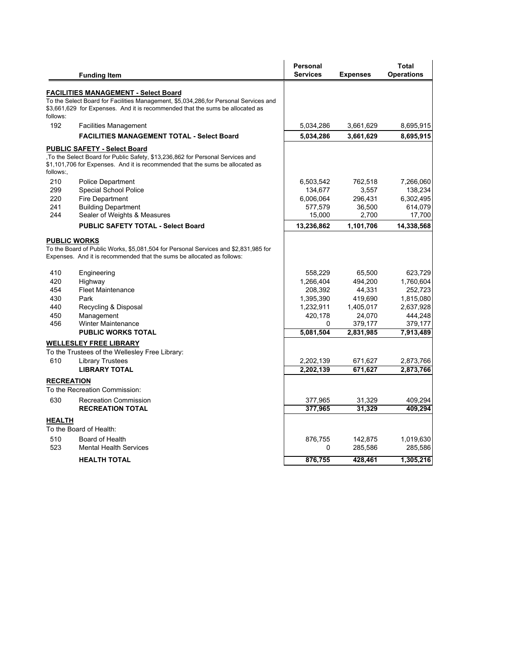|                   |                                                                                                                                     | <b>Personal</b> |                   | <b>Total</b>       |
|-------------------|-------------------------------------------------------------------------------------------------------------------------------------|-----------------|-------------------|--------------------|
|                   | <b>Funding Item</b>                                                                                                                 | <b>Services</b> | <b>Expenses</b>   | <b>Operations</b>  |
|                   |                                                                                                                                     |                 |                   |                    |
|                   | <b>FACILITIES MANAGEMENT - Select Board</b><br>To the Select Board for Facilities Management, \$5,034,286,for Personal Services and |                 |                   |                    |
|                   | \$3,661,629 for Expenses. And it is recommended that the sums be allocated as                                                       |                 |                   |                    |
| follows:          |                                                                                                                                     |                 |                   |                    |
| 192               | <b>Facilities Management</b>                                                                                                        | 5,034,286       | 3,661,629         | 8,695,915          |
|                   | <b>FACILITIES MANAGEMENT TOTAL - Select Board</b>                                                                                   | 5,034,286       | 3,661,629         | 8,695,915          |
|                   | <b>PUBLIC SAFETY - Select Board</b>                                                                                                 |                 |                   |                    |
|                   | To the Select Board for Public Safety, \$13,236,862 for Personal Services and                                                       |                 |                   |                    |
|                   | \$1,101,706 for Expenses. And it is recommended that the sums be allocated as                                                       |                 |                   |                    |
| follows:,         |                                                                                                                                     |                 |                   |                    |
| 210               | <b>Police Department</b>                                                                                                            | 6,503,542       | 762,518           | 7,266,060          |
| 299               | Special School Police                                                                                                               | 134,677         | 3,557             | 138,234            |
| 220               | Fire Department                                                                                                                     | 6,006,064       | 296,431           | 6,302,495          |
| 241               | <b>Building Department</b>                                                                                                          | 577,579         | 36,500            | 614,079            |
| 244               | Sealer of Weights & Measures                                                                                                        | 15,000          | 2,700             | 17,700             |
|                   | <b>PUBLIC SAFETY TOTAL - Select Board</b>                                                                                           | 13,236,862      | 1,101,706         | 14,338,568         |
|                   | <b>PUBLIC WORKS</b>                                                                                                                 |                 |                   |                    |
|                   | To the Board of Public Works, \$5,081,504 for Personal Services and \$2,831,985 for                                                 |                 |                   |                    |
|                   | Expenses. And it is recommended that the sums be allocated as follows:                                                              |                 |                   |                    |
|                   |                                                                                                                                     |                 |                   |                    |
| 410               | Engineering                                                                                                                         | 558,229         | 65,500            | 623,729            |
| 420<br>454        | Highway<br><b>Fleet Maintenance</b>                                                                                                 | 1,266,404       | 494,200           | 1,760,604          |
|                   |                                                                                                                                     | 208,392         | 44,331            | 252,723            |
| 430<br>440        | Park                                                                                                                                | 1,395,390       | 419,690           | 1,815,080          |
|                   | Recycling & Disposal                                                                                                                | 1,232,911       | 1,405,017         | 2,637,928          |
| 450<br>456        | Management<br><b>Winter Maintenance</b>                                                                                             | 420,178<br>0    | 24,070<br>379,177 | 444,248<br>379,177 |
|                   | <b>PUBLIC WORKS TOTAL</b>                                                                                                           | 5,081,504       | 2,831,985         | 7,913,489          |
|                   |                                                                                                                                     |                 |                   |                    |
|                   | <b>WELLESLEY FREE LIBRARY</b><br>To the Trustees of the Wellesley Free Library:                                                     |                 |                   |                    |
| 610               | <b>Library Trustees</b>                                                                                                             | 2,202,139       | 671,627           | 2,873,766          |
|                   | <b>LIBRARY TOTAL</b>                                                                                                                | 2,202,139       | 671,627           | 2,873,766          |
| <b>RECREATION</b> |                                                                                                                                     |                 |                   |                    |
|                   | To the Recreation Commission:                                                                                                       |                 |                   |                    |
| 630               | <b>Recreation Commission</b>                                                                                                        | 377,965         | 31,329            | 409,294            |
|                   | <b>RECREATION TOTAL</b>                                                                                                             | 377,965         | 31,329            | 409.294            |
|                   |                                                                                                                                     |                 |                   |                    |
| <u>HEALTH</u>     |                                                                                                                                     |                 |                   |                    |
|                   | To the Board of Health:                                                                                                             |                 |                   |                    |
| 510               | Board of Health                                                                                                                     | 876,755         | 142,875           | 1,019,630          |
| 523               | <b>Mental Health Services</b>                                                                                                       | 0               | 285,586           | 285,586            |
|                   | <b>HEALTH TOTAL</b>                                                                                                                 | 876,755         | 428,461           | 1,305,216          |
|                   |                                                                                                                                     |                 |                   |                    |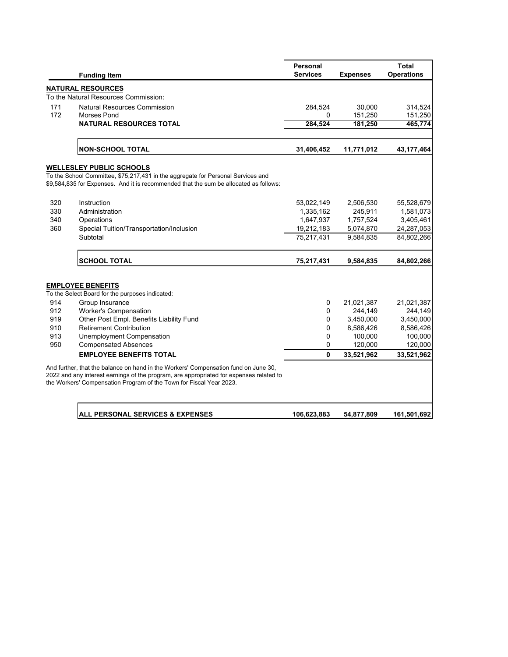|     |                                                                                                                                                                                                                                                       | <b>Personal</b> |                 | <b>Total</b>      |
|-----|-------------------------------------------------------------------------------------------------------------------------------------------------------------------------------------------------------------------------------------------------------|-----------------|-----------------|-------------------|
|     | <b>Funding Item</b>                                                                                                                                                                                                                                   | <b>Services</b> | <b>Expenses</b> | <b>Operations</b> |
|     | <b>NATURAL RESOURCES</b>                                                                                                                                                                                                                              |                 |                 |                   |
|     | To the Natural Resources Commission:                                                                                                                                                                                                                  |                 |                 |                   |
| 171 | <b>Natural Resources Commission</b>                                                                                                                                                                                                                   | 284,524         | 30,000          | 314,524           |
| 172 | <b>Morses Pond</b>                                                                                                                                                                                                                                    | 0               | 151,250         | 151,250           |
|     | <b>NATURAL RESOURCES TOTAL</b>                                                                                                                                                                                                                        | 284,524         | 181,250         | 465,774           |
|     |                                                                                                                                                                                                                                                       |                 |                 |                   |
|     | <b>NON-SCHOOL TOTAL</b>                                                                                                                                                                                                                               | 31,406,452      | 11,771,012      | 43, 177, 464      |
|     | <b>WELLESLEY PUBLIC SCHOOLS</b>                                                                                                                                                                                                                       |                 |                 |                   |
|     | To the School Committee, \$75,217,431 in the aggregate for Personal Services and                                                                                                                                                                      |                 |                 |                   |
|     | \$9,584,835 for Expenses. And it is recommended that the sum be allocated as follows:                                                                                                                                                                 |                 |                 |                   |
|     |                                                                                                                                                                                                                                                       |                 |                 |                   |
| 320 | Instruction                                                                                                                                                                                                                                           | 53,022,149      | 2,506,530       | 55,528,679        |
| 330 | Administration                                                                                                                                                                                                                                        | 1,335,162       | 245,911         | 1,581,073         |
| 340 | Operations                                                                                                                                                                                                                                            | 1,647,937       | 1,757,524       | 3,405,461         |
| 360 | Special Tuition/Transportation/Inclusion                                                                                                                                                                                                              | 19,212,183      | 5,074,870       | 24,287,053        |
|     | Subtotal                                                                                                                                                                                                                                              | 75.217.431      | 9.584.835       | 84,802,266        |
|     | <b>SCHOOL TOTAL</b>                                                                                                                                                                                                                                   | 75,217,431      | 9,584,835       | 84,802,266        |
|     | <b>EMPLOYEE BENEFITS</b>                                                                                                                                                                                                                              |                 |                 |                   |
|     | To the Select Board for the purposes indicated:                                                                                                                                                                                                       |                 |                 |                   |
| 914 | Group Insurance                                                                                                                                                                                                                                       | 0               | 21,021,387      | 21,021,387        |
| 912 | <b>Worker's Compensation</b>                                                                                                                                                                                                                          | 0               | 244,149         | 244,149           |
| 919 | Other Post Empl. Benefits Liability Fund                                                                                                                                                                                                              | 0               | 3,450,000       | 3,450,000         |
| 910 | <b>Retirement Contribution</b>                                                                                                                                                                                                                        | 0               | 8,586,426       | 8,586,426         |
| 913 | Unemployment Compensation                                                                                                                                                                                                                             | 0               | 100,000         | 100,000           |
| 950 | <b>Compensated Absences</b>                                                                                                                                                                                                                           | 0               | 120,000         | 120,000           |
|     | <b>EMPLOYEE BENEFITS TOTAL</b>                                                                                                                                                                                                                        | 0               | 33,521,962      | 33,521,962        |
|     | And further, that the balance on hand in the Workers' Compensation fund on June 30,<br>2022 and any interest earnings of the program, are appropriated for expenses related to<br>the Workers' Compensation Program of the Town for Fiscal Year 2023. |                 |                 |                   |
|     | <b>ALL PERSONAL SERVICES &amp; EXPENSES</b>                                                                                                                                                                                                           | 106,623,883     | 54,877,809      | 161,501,692       |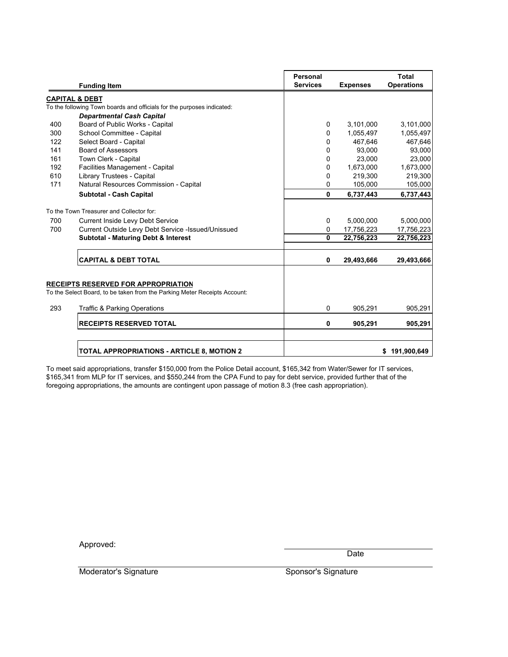|     | <b>Funding Item</b>                                                                                 | Personal<br><b>Services</b> | <b>Expenses</b> | <b>Total</b><br><b>Operations</b> |
|-----|-----------------------------------------------------------------------------------------------------|-----------------------------|-----------------|-----------------------------------|
|     |                                                                                                     |                             |                 |                                   |
|     | <b>CAPITAL &amp; DEBT</b><br>To the following Town boards and officials for the purposes indicated: |                             |                 |                                   |
|     |                                                                                                     |                             |                 |                                   |
| 400 | <b>Departmental Cash Capital</b><br>Board of Public Works - Capital                                 |                             | 3,101,000       | 3,101,000                         |
|     |                                                                                                     | 0                           |                 |                                   |
| 300 | School Committee - Capital                                                                          | 0                           | 1,055,497       | 1,055,497                         |
| 122 | Select Board - Capital                                                                              | 0                           | 467,646         | 467,646                           |
| 141 | <b>Board of Assessors</b>                                                                           | 0                           | 93,000          | 93,000                            |
| 161 | Town Clerk - Capital                                                                                | 0                           | 23,000          | 23,000                            |
| 192 | Facilities Management - Capital                                                                     | 0                           | 1,673,000       | 1,673,000                         |
| 610 | Library Trustees - Capital                                                                          | 0                           | 219,300         | 219,300                           |
| 171 | Natural Resources Commission - Capital                                                              | 0                           | 105,000         | 105,000                           |
|     | Subtotal - Cash Capital                                                                             | 0                           | 6,737,443       | 6,737,443                         |
|     | To the Town Treasurer and Collector for:                                                            |                             |                 |                                   |
| 700 | <b>Current Inside Levy Debt Service</b>                                                             | 0                           | 5,000,000       | 5,000,000                         |
| 700 | Current Outside Levy Debt Service -Issued/Unissued                                                  | 0                           | 17,756,223      | 17,756,223                        |
|     | <b>Subtotal - Maturing Debt &amp; Interest</b>                                                      | 0                           | 22,756,223      | 22,756,223                        |
|     | <b>CAPITAL &amp; DEBT TOTAL</b>                                                                     | 0                           | 29,493,666      | 29,493,666                        |
|     |                                                                                                     |                             |                 |                                   |
|     | <b>RECEIPTS RESERVED FOR APPROPRIATION</b>                                                          |                             |                 |                                   |
|     | To the Select Board, to be taken from the Parking Meter Receipts Account:                           |                             |                 |                                   |
| 293 | <b>Traffic &amp; Parking Operations</b>                                                             | 0                           | 905,291         | 905,291                           |
|     | <b>RECEIPTS RESERVED TOTAL</b>                                                                      | 0                           | 905,291         | 905,291                           |
|     |                                                                                                     |                             |                 |                                   |
|     | <b>TOTAL APPROPRIATIONS - ARTICLE 8, MOTION 2</b>                                                   |                             |                 | 191,900,649<br>\$                 |

To meet said appropriations, transfer \$150,000 from the Police Detail account, \$165,342 from Water/Sewer for IT services, \$165,341 from MLP for IT services, and \$550,244 from the CPA Fund to pay for debt service, provided further that of the foregoing appropriations, the amounts are contingent upon passage of motion 8.3 (free cash appropriation).

Approved:

Date

Moderator's Signature Sponsor's Signature Sponsor's Signature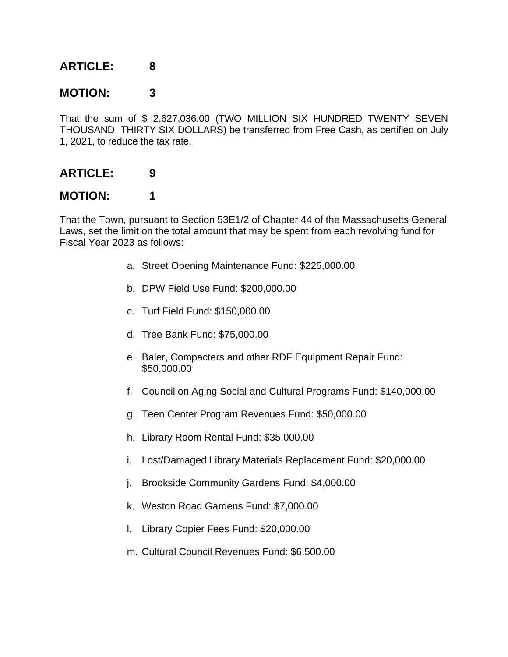### **MOTION: 3**

That the sum of \$ 2,627,036.00 (TWO MILLION SIX HUNDRED TWENTY SEVEN THOUSAND THIRTY SIX DOLLARS) be transferred from Free Cash, as certified on July 1, 2021, to reduce the tax rate.

### **ARTICLE: 9**

### **MOTION: 1**

That the Town, pursuant to Section 53E1/2 of Chapter 44 of the Massachusetts General Laws, set the limit on the total amount that may be spent from each revolving fund for Fiscal Year 2023 as follows:

- a. Street Opening Maintenance Fund: \$225,000.00
- b. DPW Field Use Fund: \$200,000.00
- c. Turf Field Fund: \$150,000.00
- d. Tree Bank Fund: \$75,000.00
- e. Baler, Compacters and other RDF Equipment Repair Fund: \$50,000.00
- f. Council on Aging Social and Cultural Programs Fund: \$140,000.00
- g. Teen Center Program Revenues Fund: \$50,000.00
- h. Library Room Rental Fund: \$35,000.00
- i. Lost/Damaged Library Materials Replacement Fund: \$20,000.00
- j. Brookside Community Gardens Fund: \$4,000.00
- k. Weston Road Gardens Fund: \$7,000.00
- l. Library Copier Fees Fund: \$20,000.00
- m. Cultural Council Revenues Fund: \$6,500.00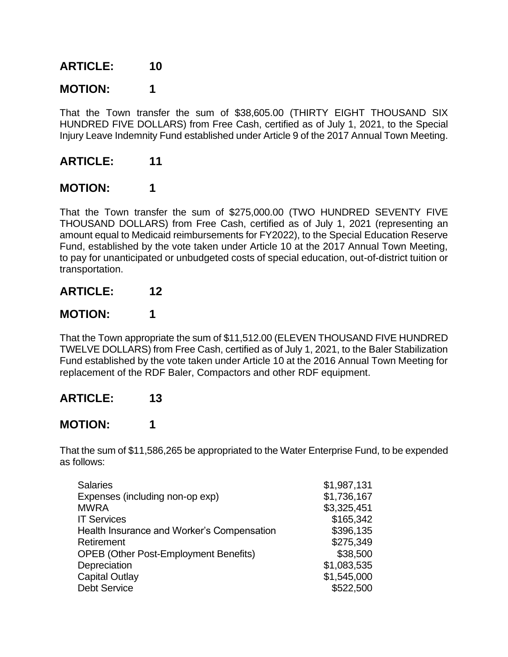## **MOTION: 1**

That the Town transfer the sum of \$38,605.00 (THIRTY EIGHT THOUSAND SIX HUNDRED FIVE DOLLARS) from Free Cash, certified as of July 1, 2021, to the Special Injury Leave Indemnity Fund established under Article 9 of the 2017 Annual Town Meeting.

### **ARTICLE: 11**

### **MOTION: 1**

That the Town transfer the sum of \$275,000.00 (TWO HUNDRED SEVENTY FIVE THOUSAND DOLLARS) from Free Cash, certified as of July 1, 2021 (representing an amount equal to Medicaid reimbursements for FY2022), to the Special Education Reserve Fund, established by the vote taken under Article 10 at the 2017 Annual Town Meeting, to pay for unanticipated or unbudgeted costs of special education, out-of-district tuition or transportation.

### **ARTICLE: 12**

### **MOTION: 1**

That the Town appropriate the sum of \$11,512.00 (ELEVEN THOUSAND FIVE HUNDRED TWELVE DOLLARS) from Free Cash, certified as of July 1, 2021, to the Baler Stabilization Fund established by the vote taken under Article 10 at the 2016 Annual Town Meeting for replacement of the RDF Baler, Compactors and other RDF equipment.

### **ARTICLE: 13**

### **MOTION: 1**

That the sum of \$11,586,265 be appropriated to the Water Enterprise Fund, to be expended as follows:

| <b>Salaries</b>                              | \$1,987,131 |
|----------------------------------------------|-------------|
| Expenses (including non-op exp)              | \$1,736,167 |
| <b>MWRA</b>                                  | \$3,325,451 |
| <b>IT Services</b>                           | \$165,342   |
| Health Insurance and Worker's Compensation   | \$396,135   |
| Retirement                                   | \$275,349   |
| <b>OPEB (Other Post-Employment Benefits)</b> | \$38,500    |
| Depreciation                                 | \$1,083,535 |
| <b>Capital Outlay</b>                        | \$1,545,000 |
| <b>Debt Service</b>                          | \$522,500   |
|                                              |             |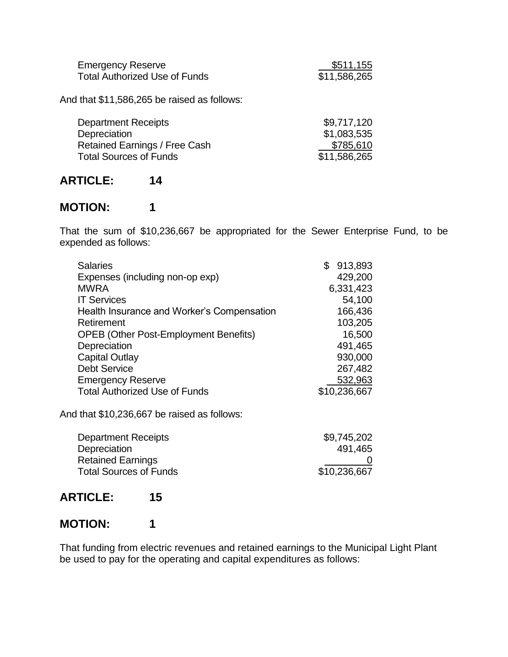| <b>Emergency Reserve</b>             | \$511,155    |
|--------------------------------------|--------------|
| <b>Total Authorized Use of Funds</b> | \$11,586,265 |

And that \$11,586,265 be raised as follows:

| <b>Department Receipts</b>    | \$9,717,120  |
|-------------------------------|--------------|
| Depreciation                  | \$1,083,535  |
| Retained Earnings / Free Cash | \$785,610    |
| <b>Total Sources of Funds</b> | \$11,586,265 |

### **ARTICLE: 14**

### **MOTION: 1**

That the sum of \$10,236,667 be appropriated for the Sewer Enterprise Fund, to be expended as follows:

| Expenses (including non-op exp)<br><b>MWRA</b><br><b>IT Services</b><br>Health Insurance and Worker's Compensation<br>Retirement<br><b>OPEB (Other Post-Employment Benefits)</b><br>Depreciation<br><b>Capital Outlay</b><br><b>Debt Service</b><br><b>Emergency Reserve</b><br><b>Total Authorized Use of Funds</b><br>And that \$10,236,667 be raised as follows: | <b>Salaries</b> | \$ | 913,893      |
|---------------------------------------------------------------------------------------------------------------------------------------------------------------------------------------------------------------------------------------------------------------------------------------------------------------------------------------------------------------------|-----------------|----|--------------|
|                                                                                                                                                                                                                                                                                                                                                                     |                 |    | 429,200      |
|                                                                                                                                                                                                                                                                                                                                                                     |                 |    | 6,331,423    |
|                                                                                                                                                                                                                                                                                                                                                                     |                 |    | 54,100       |
|                                                                                                                                                                                                                                                                                                                                                                     |                 |    | 166,436      |
|                                                                                                                                                                                                                                                                                                                                                                     |                 |    | 103,205      |
|                                                                                                                                                                                                                                                                                                                                                                     |                 |    | 16,500       |
|                                                                                                                                                                                                                                                                                                                                                                     |                 |    | 491,465      |
|                                                                                                                                                                                                                                                                                                                                                                     |                 |    | 930,000      |
|                                                                                                                                                                                                                                                                                                                                                                     |                 |    | 267,482      |
|                                                                                                                                                                                                                                                                                                                                                                     |                 |    | 532,963      |
|                                                                                                                                                                                                                                                                                                                                                                     |                 |    | \$10,236,667 |
|                                                                                                                                                                                                                                                                                                                                                                     |                 |    |              |

| <b>Department Receipts</b>    | \$9,745,202  |
|-------------------------------|--------------|
| Depreciation                  | 491,465      |
| <b>Retained Earnings</b>      |              |
| <b>Total Sources of Funds</b> | \$10,236,667 |

### **ARTICLE: 15**

### **MOTION: 1**

That funding from electric revenues and retained earnings to the Municipal Light Plant be used to pay for the operating and capital expenditures as follows: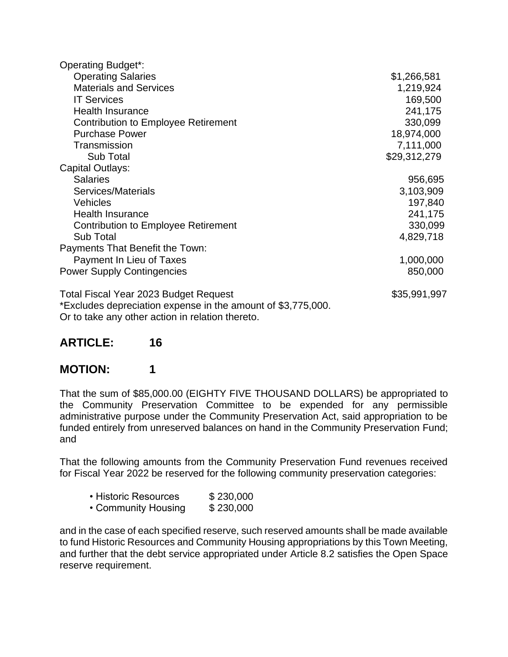| <b>Operating Budget*:</b>                                                                                                                                                                                               |              |
|-------------------------------------------------------------------------------------------------------------------------------------------------------------------------------------------------------------------------|--------------|
| <b>Operating Salaries</b>                                                                                                                                                                                               | \$1,266,581  |
| <b>Materials and Services</b>                                                                                                                                                                                           | 1,219,924    |
| <b>IT Services</b>                                                                                                                                                                                                      | 169,500      |
| <b>Health Insurance</b>                                                                                                                                                                                                 | 241,175      |
| <b>Contribution to Employee Retirement</b>                                                                                                                                                                              | 330,099      |
| <b>Purchase Power</b>                                                                                                                                                                                                   | 18,974,000   |
| Transmission                                                                                                                                                                                                            | 7,111,000    |
| Sub Total                                                                                                                                                                                                               | \$29,312,279 |
| Capital Outlays:                                                                                                                                                                                                        |              |
| <b>Salaries</b>                                                                                                                                                                                                         | 956,695      |
| Services/Materials                                                                                                                                                                                                      | 3,103,909    |
| <b>Vehicles</b>                                                                                                                                                                                                         | 197,840      |
| <b>Health Insurance</b>                                                                                                                                                                                                 | 241,175      |
| <b>Contribution to Employee Retirement</b>                                                                                                                                                                              | 330,099      |
| <b>Sub Total</b>                                                                                                                                                                                                        | 4,829,718    |
| Payments That Benefit the Town:                                                                                                                                                                                         |              |
| Payment In Lieu of Taxes                                                                                                                                                                                                | 1,000,000    |
| <b>Power Supply Contingencies</b>                                                                                                                                                                                       | 850,000      |
| Total Fiscal Year 2023 Budget Request<br>*Excludes depreciation expense in the amount of \$3,775,000.<br>n an de la basilia de la contrata de la contrata de la contrata de la contrata de la contrata de la contrata d | \$35,991,997 |

Or to take any other action in relation thereto.

### **ARTICLE: 16**

### **MOTION: 1**

That the sum of \$85,000.00 (EIGHTY FIVE THOUSAND DOLLARS) be appropriated to the Community Preservation Committee to be expended for any permissible administrative purpose under the Community Preservation Act, said appropriation to be funded entirely from unreserved balances on hand in the Community Preservation Fund; and

That the following amounts from the Community Preservation Fund revenues received for Fiscal Year 2022 be reserved for the following community preservation categories:

- Historic Resources \$230,000
- Community Housing \$230,000

and in the case of each specified reserve, such reserved amounts shall be made available to fund Historic Resources and Community Housing appropriations by this Town Meeting, and further that the debt service appropriated under Article 8.2 satisfies the Open Space reserve requirement.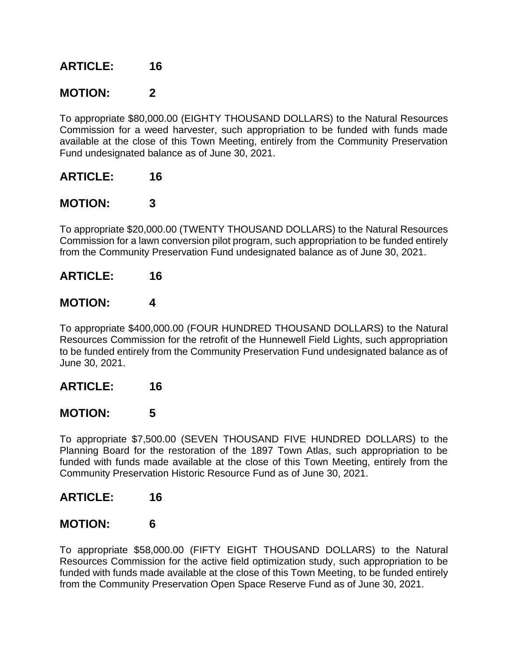### **MOTION: 2**

To appropriate \$80,000.00 (EIGHTY THOUSAND DOLLARS) to the Natural Resources Commission for a weed harvester, such appropriation to be funded with funds made available at the close of this Town Meeting, entirely from the Community Preservation Fund undesignated balance as of June 30, 2021.

### **ARTICLE: 16**

#### **MOTION: 3**

To appropriate \$20,000.00 (TWENTY THOUSAND DOLLARS) to the Natural Resources Commission for a lawn conversion pilot program, such appropriation to be funded entirely from the Community Preservation Fund undesignated balance as of June 30, 2021.

#### **ARTICLE: 16**

### **MOTION: 4**

To appropriate \$400,000.00 (FOUR HUNDRED THOUSAND DOLLARS) to the Natural Resources Commission for the retrofit of the Hunnewell Field Lights, such appropriation to be funded entirely from the Community Preservation Fund undesignated balance as of June 30, 2021.

### **ARTICLE: 16**

### **MOTION: 5**

To appropriate \$7,500.00 (SEVEN THOUSAND FIVE HUNDRED DOLLARS) to the Planning Board for the restoration of the 1897 Town Atlas, such appropriation to be funded with funds made available at the close of this Town Meeting, entirely from the Community Preservation Historic Resource Fund as of June 30, 2021.

### **ARTICLE: 16**

### **MOTION: 6**

To appropriate \$58,000.00 (FIFTY EIGHT THOUSAND DOLLARS) to the Natural Resources Commission for the active field optimization study, such appropriation to be funded with funds made available at the close of this Town Meeting, to be funded entirely from the Community Preservation Open Space Reserve Fund as of June 30, 2021.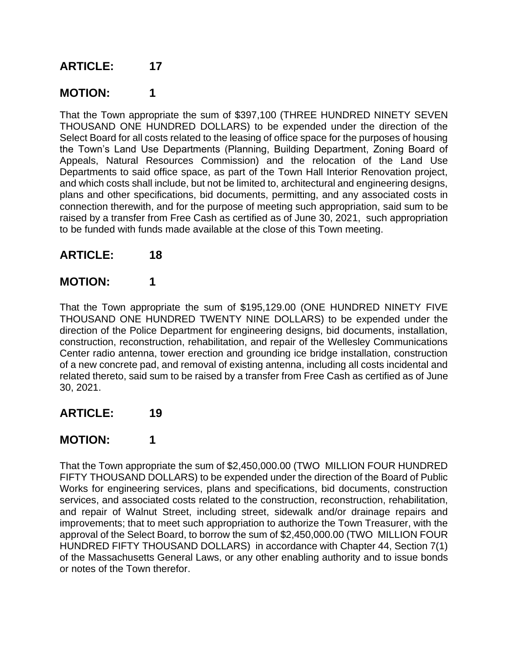## **MOTION: 1**

That the Town appropriate the sum of \$397,100 (THREE HUNDRED NINETY SEVEN THOUSAND ONE HUNDRED DOLLARS) to be expended under the direction of the Select Board for all costs related to the leasing of office space for the purposes of housing the Town's Land Use Departments (Planning, Building Department, Zoning Board of Appeals, Natural Resources Commission) and the relocation of the Land Use Departments to said office space, as part of the Town Hall Interior Renovation project, and which costs shall include, but not be limited to, architectural and engineering designs, plans and other specifications, bid documents, permitting, and any associated costs in connection therewith, and for the purpose of meeting such appropriation, said sum to be raised by a transfer from Free Cash as certified as of June 30, 2021, such appropriation to be funded with funds made available at the close of this Town meeting.

### **ARTICLE: 18**

### **MOTION: 1**

That the Town appropriate the sum of \$195,129.00 (ONE HUNDRED NINETY FIVE THOUSAND ONE HUNDRED TWENTY NINE DOLLARS) to be expended under the direction of the Police Department for engineering designs, bid documents, installation, construction, reconstruction, rehabilitation, and repair of the Wellesley Communications Center radio antenna, tower erection and grounding ice bridge installation, construction of a new concrete pad, and removal of existing antenna, including all costs incidental and related thereto, said sum to be raised by a transfer from Free Cash as certified as of June 30, 2021.

### **ARTICLE: 19**

### **MOTION: 1**

That the Town appropriate the sum of \$2,450,000.00 (TWO MILLION FOUR HUNDRED FIFTY THOUSAND DOLLARS) to be expended under the direction of the Board of Public Works for engineering services, plans and specifications, bid documents, construction services, and associated costs related to the construction, reconstruction, rehabilitation, and repair of Walnut Street, including street, sidewalk and/or drainage repairs and improvements; that to meet such appropriation to authorize the Town Treasurer, with the approval of the Select Board, to borrow the sum of \$2,450,000.00 (TWO MILLION FOUR HUNDRED FIFTY THOUSAND DOLLARS) in accordance with Chapter 44, Section 7(1) of the Massachusetts General Laws, or any other enabling authority and to issue bonds or notes of the Town therefor.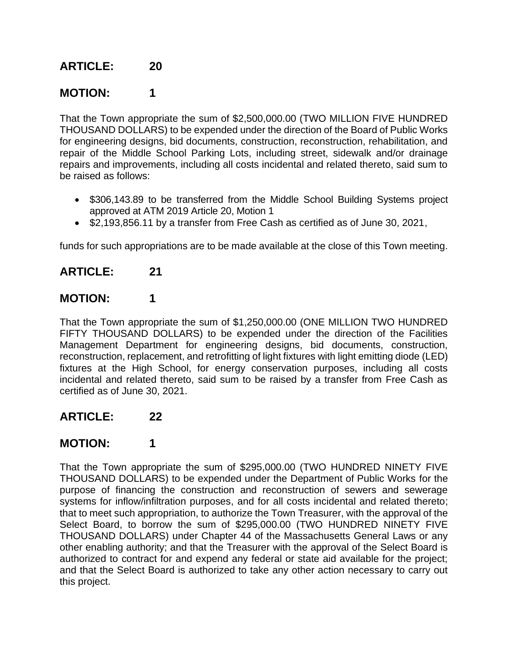## **MOTION: 1**

That the Town appropriate the sum of \$2,500,000.00 (TWO MILLION FIVE HUNDRED THOUSAND DOLLARS) to be expended under the direction of the Board of Public Works for engineering designs, bid documents, construction, reconstruction, rehabilitation, and repair of the Middle School Parking Lots, including street, sidewalk and/or drainage repairs and improvements, including all costs incidental and related thereto, said sum to be raised as follows:

- \$306,143.89 to be transferred from the Middle School Building Systems project approved at ATM 2019 Article 20, Motion 1
- \$2,193,856.11 by a transfer from Free Cash as certified as of June 30, 2021,

funds for such appropriations are to be made available at the close of this Town meeting.

### **ARTICLE: 21**

### **MOTION: 1**

That the Town appropriate the sum of \$1,250,000.00 (ONE MILLION TWO HUNDRED FIFTY THOUSAND DOLLARS) to be expended under the direction of the Facilities Management Department for engineering designs, bid documents, construction, reconstruction, replacement, and retrofitting of light fixtures with light emitting diode (LED) fixtures at the High School, for energy conservation purposes, including all costs incidental and related thereto, said sum to be raised by a transfer from Free Cash as certified as of June 30, 2021.

### **ARTICLE: 22**

### **MOTION: 1**

That the Town appropriate the sum of \$295,000.00 (TWO HUNDRED NINETY FIVE THOUSAND DOLLARS) to be expended under the Department of Public Works for the purpose of financing the construction and reconstruction of sewers and sewerage systems for inflow/infiltration purposes, and for all costs incidental and related thereto; that to meet such appropriation, to authorize the Town Treasurer, with the approval of the Select Board, to borrow the sum of \$295,000.00 (TWO HUNDRED NINETY FIVE THOUSAND DOLLARS) under Chapter 44 of the Massachusetts General Laws or any other enabling authority; and that the Treasurer with the approval of the Select Board is authorized to contract for and expend any federal or state aid available for the project; and that the Select Board is authorized to take any other action necessary to carry out this project.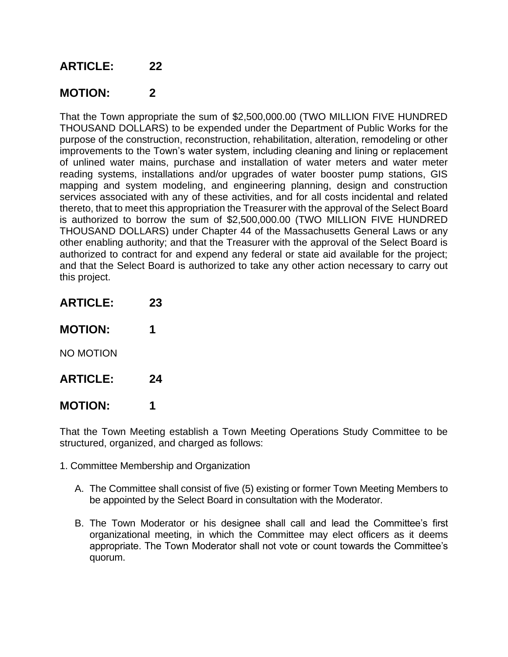### **MOTION: 2**

That the Town appropriate the sum of \$2,500,000.00 (TWO MILLION FIVE HUNDRED THOUSAND DOLLARS) to be expended under the Department of Public Works for the purpose of the construction, reconstruction, rehabilitation, alteration, remodeling or other improvements to the Town's water system, including cleaning and lining or replacement of unlined water mains, purchase and installation of water meters and water meter reading systems, installations and/or upgrades of water booster pump stations, GIS mapping and system modeling, and engineering planning, design and construction services associated with any of these activities, and for all costs incidental and related thereto, that to meet this appropriation the Treasurer with the approval of the Select Board is authorized to borrow the sum of \$2,500,000.00 (TWO MILLION FIVE HUNDRED THOUSAND DOLLARS) under Chapter 44 of the Massachusetts General Laws or any other enabling authority; and that the Treasurer with the approval of the Select Board is authorized to contract for and expend any federal or state aid available for the project; and that the Select Board is authorized to take any other action necessary to carry out this project.

- **ARTICLE: 23 MOTION: 1** NO MOTION **ARTICLE: 24**
- **MOTION: 1**

That the Town Meeting establish a Town Meeting Operations Study Committee to be structured, organized, and charged as follows:

- 1. Committee Membership and Organization
	- A. The Committee shall consist of five (5) existing or former Town Meeting Members to be appointed by the Select Board in consultation with the Moderator.
	- B. The Town Moderator or his designee shall call and lead the Committee's first organizational meeting, in which the Committee may elect officers as it deems appropriate. The Town Moderator shall not vote or count towards the Committee's quorum.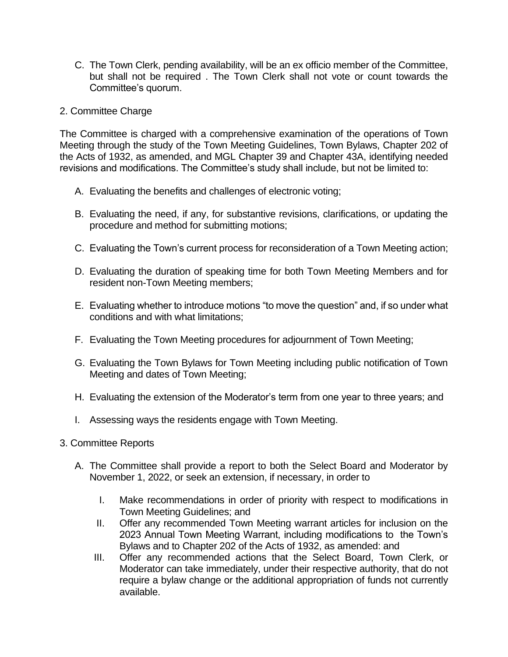C. The Town Clerk, pending availability, will be an ex officio member of the Committee, but shall not be required . The Town Clerk shall not vote or count towards the Committee's quorum.

#### 2. Committee Charge

The Committee is charged with a comprehensive examination of the operations of Town Meeting through the study of the Town Meeting Guidelines, Town Bylaws, Chapter 202 of the Acts of 1932, as amended, and MGL Chapter 39 and Chapter 43A, identifying needed revisions and modifications. The Committee's study shall include, but not be limited to:

- A. Evaluating the benefits and challenges of electronic voting;
- B. Evaluating the need, if any, for substantive revisions, clarifications, or updating the procedure and method for submitting motions;
- C. Evaluating the Town's current process for reconsideration of a Town Meeting action;
- D. Evaluating the duration of speaking time for both Town Meeting Members and for resident non-Town Meeting members;
- E. Evaluating whether to introduce motions "to move the question" and, if so under what conditions and with what limitations;
- F. Evaluating the Town Meeting procedures for adjournment of Town Meeting;
- G. Evaluating the Town Bylaws for Town Meeting including public notification of Town Meeting and dates of Town Meeting;
- H. Evaluating the extension of the Moderator's term from one year to three years; and
- I. Assessing ways the residents engage with Town Meeting.
- 3. Committee Reports
	- A. The Committee shall provide a report to both the Select Board and Moderator by November 1, 2022, or seek an extension, if necessary, in order to
		- I. Make recommendations in order of priority with respect to modifications in Town Meeting Guidelines; and
		- II. Offer any recommended Town Meeting warrant articles for inclusion on the 2023 Annual Town Meeting Warrant, including modifications to the Town's Bylaws and to Chapter 202 of the Acts of 1932, as amended: and
		- III. Offer any recommended actions that the Select Board, Town Clerk, or Moderator can take immediately, under their respective authority, that do not require a bylaw change or the additional appropriation of funds not currently available.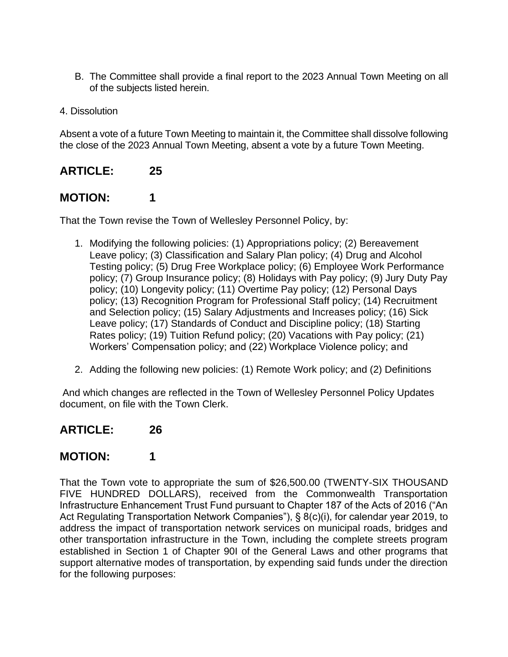- B. The Committee shall provide a final report to the 2023 Annual Town Meeting on all of the subjects listed herein.
- 4. Dissolution

Absent a vote of a future Town Meeting to maintain it, the Committee shall dissolve following the close of the 2023 Annual Town Meeting, absent a vote by a future Town Meeting.

### **ARTICLE: 25**

### **MOTION: 1**

That the Town revise the Town of Wellesley Personnel Policy, by:

- 1. Modifying the following policies: (1) Appropriations policy; (2) Bereavement Leave policy; (3) Classification and Salary Plan policy; (4) Drug and Alcohol Testing policy; (5) Drug Free Workplace policy; (6) Employee Work Performance policy; (7) Group Insurance policy; (8) Holidays with Pay policy; (9) Jury Duty Pay policy; (10) Longevity policy; (11) Overtime Pay policy; (12) Personal Days policy; (13) Recognition Program for Professional Staff policy; (14) Recruitment and Selection policy; (15) Salary Adjustments and Increases policy; (16) Sick Leave policy; (17) Standards of Conduct and Discipline policy; (18) Starting Rates policy; (19) Tuition Refund policy; (20) Vacations with Pay policy; (21) Workers' Compensation policy; and (22) Workplace Violence policy; and
- 2. Adding the following new policies: (1) Remote Work policy; and (2) Definitions

And which changes are reflected in the Town of Wellesley Personnel Policy Updates document, on file with the Town Clerk.

#### **ARTICLE: 26**

### **MOTION: 1**

That the Town vote to appropriate the sum of \$26,500.00 (TWENTY-SIX THOUSAND FIVE HUNDRED DOLLARS), received from the Commonwealth Transportation Infrastructure Enhancement Trust Fund pursuant to Chapter 187 of the Acts of 2016 ("An Act Regulating Transportation Network Companies"), § 8(c)(i), for calendar year 2019, to address the impact of transportation network services on municipal roads, bridges and other transportation infrastructure in the Town, including the complete streets program established in Section 1 of Chapter 90I of the General Laws and other programs that support alternative modes of transportation, by expending said funds under the direction for the following purposes: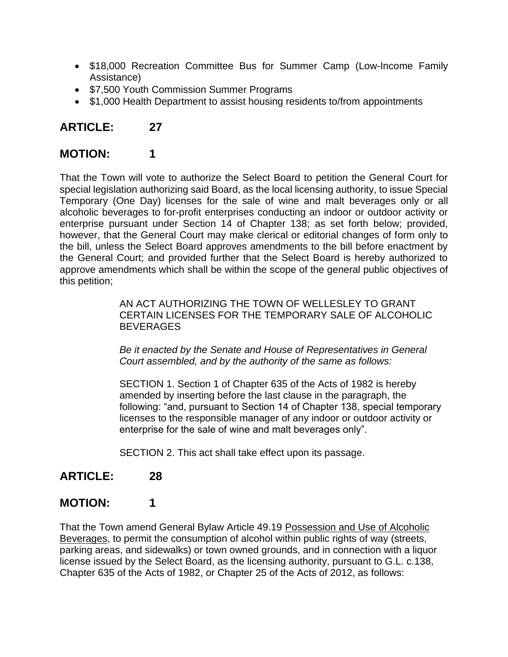- \$18,000 Recreation Committee Bus for Summer Camp (Low-Income Family Assistance)
- \$7,500 Youth Commission Summer Programs
- \$1,000 Health Department to assist housing residents to/from appointments

## **MOTION: 1**

That the Town will vote to authorize the Select Board to petition the General Court for special legislation authorizing said Board, as the local licensing authority, to issue Special Temporary (One Day) licenses for the sale of wine and malt beverages only or all alcoholic beverages to for-profit enterprises conducting an indoor or outdoor activity or enterprise pursuant under Section 14 of Chapter 138; as set forth below; provided, however, that the General Court may make clerical or editorial changes of form only to the bill, unless the Select Board approves amendments to the bill before enactment by the General Court; and provided further that the Select Board is hereby authorized to approve amendments which shall be within the scope of the general public objectives of this petition;

> AN ACT AUTHORIZING THE TOWN OF WELLESLEY TO GRANT CERTAIN LICENSES FOR THE TEMPORARY SALE OF ALCOHOLIC **BEVERAGES**

*Be it enacted by the Senate and House of Representatives in General Court assembled, and by the authority of the same as follows:* 

SECTION 1. Section 1 of Chapter 635 of the Acts of 1982 is hereby amended by inserting before the last clause in the paragraph, the following: "and, pursuant to Section 14 of Chapter 138, special temporary licenses to the responsible manager of any indoor or outdoor activity or enterprise for the sale of wine and malt beverages only".

SECTION 2. This act shall take effect upon its passage.

### **ARTICLE: 28**

## **MOTION: 1**

That the Town amend General Bylaw Article 49.19 Possession and Use of Alcoholic Beverages, to permit the consumption of alcohol within public rights of way (streets, parking areas, and sidewalks) or town owned grounds, and in connection with a liquor license issued by the Select Board, as the licensing authority, pursuant to G.L. c.138, Chapter 635 of the Acts of 1982, or Chapter 25 of the Acts of 2012, as follows: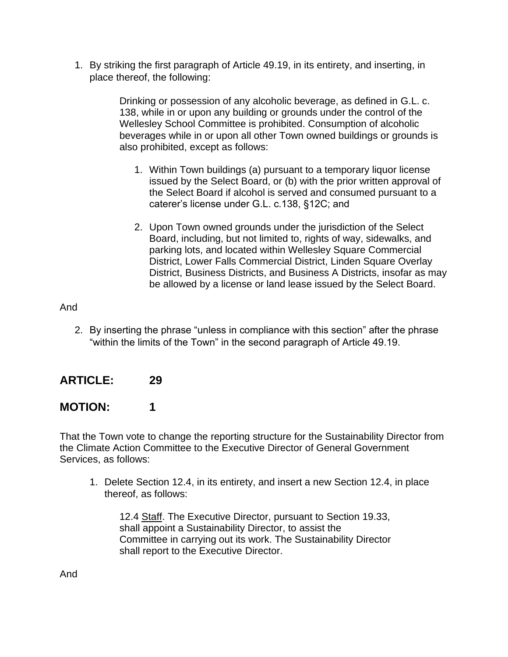1. By striking the first paragraph of Article 49.19, in its entirety, and inserting, in place thereof, the following:

> Drinking or possession of any alcoholic beverage, as defined in G.L. c. 138, while in or upon any building or grounds under the control of the Wellesley School Committee is prohibited. Consumption of alcoholic beverages while in or upon all other Town owned buildings or grounds is also prohibited, except as follows:

- 1. Within Town buildings (a) pursuant to a temporary liquor license issued by the Select Board, or (b) with the prior written approval of the Select Board if alcohol is served and consumed pursuant to a caterer's license under G.L. c.138, §12C; and
- 2. Upon Town owned grounds under the jurisdiction of the Select Board, including, but not limited to, rights of way, sidewalks, and parking lots, and located within Wellesley Square Commercial District, Lower Falls Commercial District, Linden Square Overlay District, Business Districts, and Business A Districts, insofar as may be allowed by a license or land lease issued by the Select Board.

#### And

2. By inserting the phrase "unless in compliance with this section" after the phrase "within the limits of the Town" in the second paragraph of Article 49.19.

### **ARTICLE: 29**

### **MOTION: 1**

That the Town vote to change the reporting structure for the Sustainability Director from the Climate Action Committee to the Executive Director of General Government Services, as follows:

1. Delete Section 12.4, in its entirety, and insert a new Section 12.4, in place thereof, as follows:

12.4 Staff. The Executive Director, pursuant to Section 19.33, shall appoint a Sustainability Director, to assist the Committee in carrying out its work. The Sustainability Director shall report to the Executive Director.

And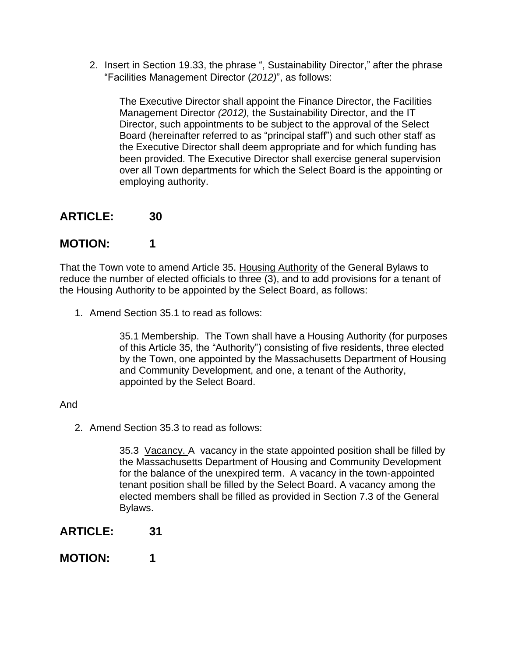2. Insert in Section 19.33, the phrase ", Sustainability Director," after the phrase "Facilities Management Director (*2012)*", as follows:

The Executive Director shall appoint the Finance Director, the Facilities Management Director *(2012),* the Sustainability Director, and the IT Director, such appointments to be subject to the approval of the Select Board (hereinafter referred to as "principal staff") and such other staff as the Executive Director shall deem appropriate and for which funding has been provided. The Executive Director shall exercise general supervision over all Town departments for which the Select Board is the appointing or employing authority.

### **ARTICLE: 30**

### **MOTION: 1**

That the Town vote to amend Article 35. Housing Authority of the General Bylaws to reduce the number of elected officials to three (3), and to add provisions for a tenant of the Housing Authority to be appointed by the Select Board, as follows:

1. Amend Section 35.1 to read as follows:

35.1 Membership. The Town shall have a Housing Authority (for purposes of this Article 35, the "Authority") consisting of five residents, three elected by the Town, one appointed by the Massachusetts Department of Housing and Community Development, and one, a tenant of the Authority, appointed by the Select Board.

#### And

2. Amend Section 35.3 to read as follows:

35.3 Vacancy. A vacancy in the state appointed position shall be filled by the Massachusetts Department of Housing and Community Development for the balance of the unexpired term. A vacancy in the town-appointed tenant position shall be filled by the Select Board. A vacancy among the elected members shall be filled as provided in Section 7.3 of the General Bylaws.

- **ARTICLE: 31**
- **MOTION: 1**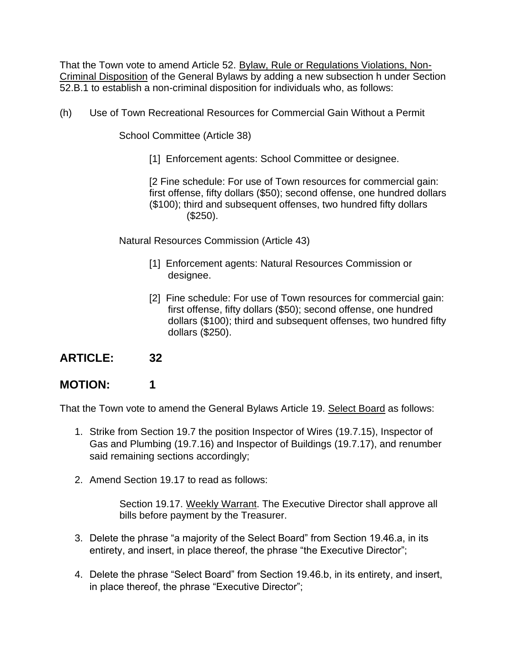That the Town vote to amend Article 52. Bylaw, Rule or Regulations Violations, Non-Criminal Disposition of the General Bylaws by adding a new subsection h under Section 52.B.1 to establish a non-criminal disposition for individuals who, as follows:

(h) Use of Town Recreational Resources for Commercial Gain Without a Permit

School Committee (Article 38)

[1] Enforcement agents: School Committee or designee.

[2 Fine schedule: For use of Town resources for commercial gain: first offense, fifty dollars (\$50); second offense, one hundred dollars (\$100); third and subsequent offenses, two hundred fifty dollars (\$250).

Natural Resources Commission (Article 43)

- [1] Enforcement agents: Natural Resources Commission or designee.
- [2] Fine schedule: For use of Town resources for commercial gain: first offense, fifty dollars (\$50); second offense, one hundred dollars (\$100); third and subsequent offenses, two hundred fifty dollars (\$250).

### **ARTICLE: 32**

## **MOTION: 1**

That the Town vote to amend the General Bylaws Article 19. Select Board as follows:

- 1. Strike from Section 19.7 the position Inspector of Wires (19.7.15), Inspector of Gas and Plumbing (19.7.16) and Inspector of Buildings (19.7.17), and renumber said remaining sections accordingly;
- 2. Amend Section 19.17 to read as follows:

Section 19.17. Weekly Warrant. The Executive Director shall approve all bills before payment by the Treasurer.

- 3. Delete the phrase "a majority of the Select Board" from Section 19.46.a, in its entirety, and insert, in place thereof, the phrase "the Executive Director";
- 4. Delete the phrase "Select Board" from Section 19.46.b, in its entirety, and insert, in place thereof, the phrase "Executive Director";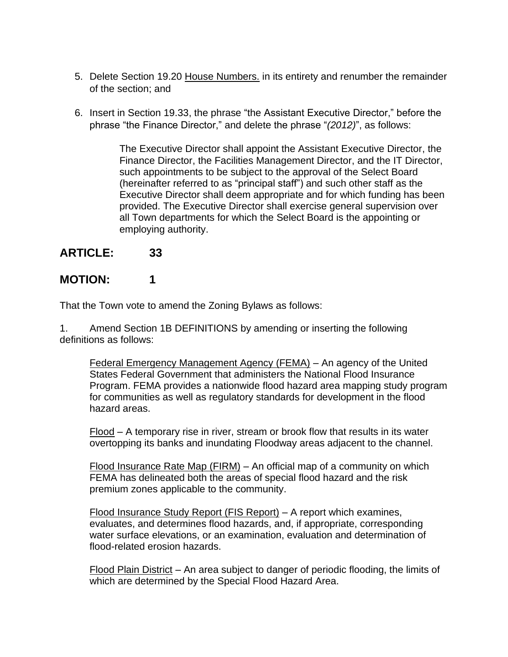- 5. Delete Section 19.20 House Numbers. in its entirety and renumber the remainder of the section; and
- 6. Insert in Section 19.33, the phrase "the Assistant Executive Director," before the phrase "the Finance Director," and delete the phrase "*(2012)*", as follows:

The Executive Director shall appoint the Assistant Executive Director, the Finance Director, the Facilities Management Director, and the IT Director, such appointments to be subject to the approval of the Select Board (hereinafter referred to as "principal staff") and such other staff as the Executive Director shall deem appropriate and for which funding has been provided. The Executive Director shall exercise general supervision over all Town departments for which the Select Board is the appointing or employing authority.

## **ARTICLE: 33**

## **MOTION: 1**

That the Town vote to amend the Zoning Bylaws as follows:

1. Amend Section 1B DEFINITIONS by amending or inserting the following definitions as follows:

Federal Emergency Management Agency (FEMA) – An agency of the United States Federal Government that administers the National Flood Insurance Program. FEMA provides a nationwide flood hazard area mapping study program for communities as well as regulatory standards for development in the flood hazard areas.

Flood – A temporary rise in river, stream or brook flow that results in its water overtopping its banks and inundating Floodway areas adjacent to the channel.

Flood Insurance Rate Map (FIRM) – An official map of a community on which FEMA has delineated both the areas of special flood hazard and the risk premium zones applicable to the community.

Flood Insurance Study Report (FIS Report) – A report which examines, evaluates, and determines flood hazards, and, if appropriate, corresponding water surface elevations, or an examination, evaluation and determination of flood-related erosion hazards.

Flood Plain District – An area subject to danger of periodic flooding, the limits of which are determined by the Special Flood Hazard Area.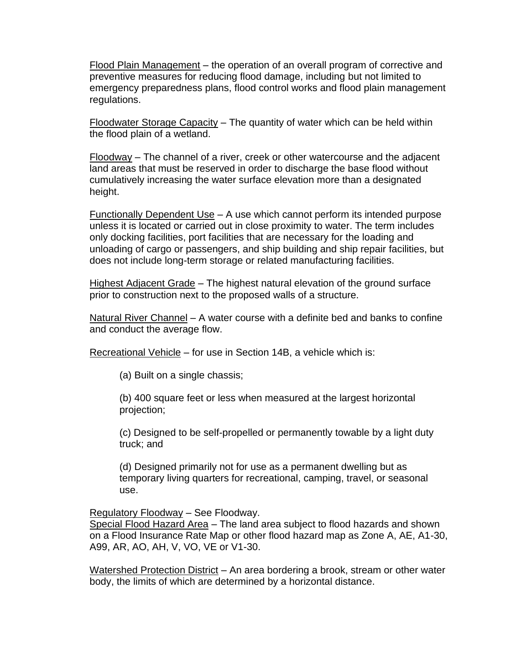Flood Plain Management – the operation of an overall program of corrective and preventive measures for reducing flood damage, including but not limited to emergency preparedness plans, flood control works and flood plain management regulations.

 $F$ loodwater Storage Capacity – The quantity of water which can be held within the flood plain of a wetland.

Floodway – The channel of a river, creek or other watercourse and the adjacent land areas that must be reserved in order to discharge the base flood without cumulatively increasing the water surface elevation more than a designated height.

Functionally Dependent Use – A use which cannot perform its intended purpose unless it is located or carried out in close proximity to water. The term includes only docking facilities, port facilities that are necessary for the loading and unloading of cargo or passengers, and ship building and ship repair facilities, but does not include long-term storage or related manufacturing facilities.

Highest Adjacent Grade – The highest natural elevation of the ground surface prior to construction next to the proposed walls of a structure.

Natural River Channel – A water course with a definite bed and banks to confine and conduct the average flow.

Recreational Vehicle – for use in Section 14B, a vehicle which is:

(a) Built on a single chassis;

(b) 400 square feet or less when measured at the largest horizontal projection;

(c) Designed to be self-propelled or permanently towable by a light duty truck; and

(d) Designed primarily not for use as a permanent dwelling but as temporary living quarters for recreational, camping, travel, or seasonal use.

Regulatory Floodway – See Floodway.

Special Flood Hazard Area - The land area subject to flood hazards and shown on a Flood Insurance Rate Map or other flood hazard map as Zone A, AE, A1-30, A99, AR, AO, AH, V, VO, VE or V1-30.

Watershed Protection District - An area bordering a brook, stream or other water body, the limits of which are determined by a horizontal distance.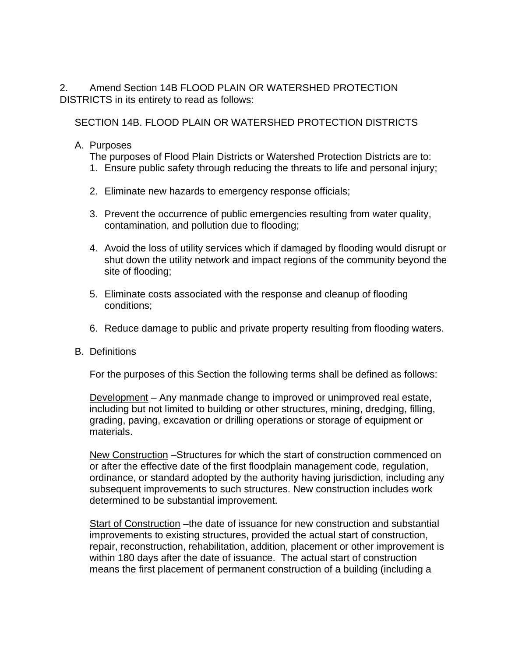2. Amend Section 14B FLOOD PLAIN OR WATERSHED PROTECTION DISTRICTS in its entirety to read as follows:

SECTION 14B. FLOOD PLAIN OR WATERSHED PROTECTION DISTRICTS

#### A. Purposes

The purposes of Flood Plain Districts or Watershed Protection Districts are to:

- 1. Ensure public safety through reducing the threats to life and personal injury;
- 2. Eliminate new hazards to emergency response officials;
- 3. Prevent the occurrence of public emergencies resulting from water quality, contamination, and pollution due to flooding;
- 4. Avoid the loss of utility services which if damaged by flooding would disrupt or shut down the utility network and impact regions of the community beyond the site of flooding;
- 5. Eliminate costs associated with the response and cleanup of flooding conditions;
- 6. Reduce damage to public and private property resulting from flooding waters.

#### B. Definitions

For the purposes of this Section the following terms shall be defined as follows:

Development – Any manmade change to improved or unimproved real estate, including but not limited to building or other structures, mining, dredging, filling, grading, paving, excavation or drilling operations or storage of equipment or materials.

New Construction –Structures for which the start of construction commenced on or after the effective date of the first floodplain management code, regulation, ordinance, or standard adopted by the authority having jurisdiction, including any subsequent improvements to such structures. New construction includes work determined to be substantial improvement.

Start of Construction –the date of issuance for new construction and substantial improvements to existing structures, provided the actual start of construction, repair, reconstruction, rehabilitation, addition, placement or other improvement is within 180 days after the date of issuance. The actual start of construction means the first placement of permanent construction of a building (including a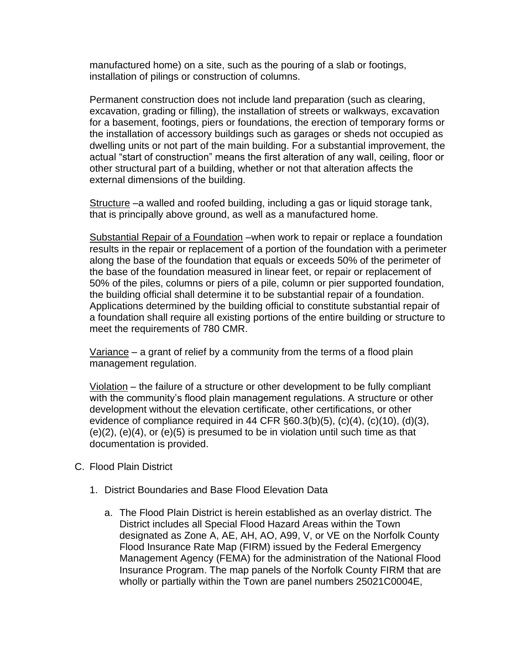manufactured home) on a site, such as the pouring of a slab or footings, installation of pilings or construction of columns.

Permanent construction does not include land preparation (such as clearing, excavation, grading or filling), the installation of streets or walkways, excavation for a basement, footings, piers or foundations, the erection of temporary forms or the installation of accessory buildings such as garages or sheds not occupied as dwelling units or not part of the main building. For a substantial improvement, the actual "start of construction" means the first alteration of any wall, ceiling, floor or other structural part of a building, whether or not that alteration affects the external dimensions of the building.

Structure –a walled and roofed building, including a gas or liquid storage tank, that is principally above ground, as well as a manufactured home.

Substantial Repair of a Foundation –when work to repair or replace a foundation results in the repair or replacement of a portion of the foundation with a perimeter along the base of the foundation that equals or exceeds 50% of the perimeter of the base of the foundation measured in linear feet, or repair or replacement of 50% of the piles, columns or piers of a pile, column or pier supported foundation, the building official shall determine it to be substantial repair of a foundation. Applications determined by the building official to constitute substantial repair of a foundation shall require all existing portions of the entire building or structure to meet the requirements of 780 CMR.

Variance – a grant of relief by a community from the terms of a flood plain management regulation.

Violation – the failure of a structure or other development to be fully compliant with the community's flood plain management regulations. A structure or other development without the elevation certificate, other certifications, or other evidence of compliance required in 44 CFR  $\S60.3(b)(5)$ ,  $(c)(4)$ ,  $(c)(10)$ ,  $(d)(3)$ ,  $(e)(2)$ ,  $(e)(4)$ , or  $(e)(5)$  is presumed to be in violation until such time as that documentation is provided.

- C. Flood Plain District
	- 1. District Boundaries and Base Flood Elevation Data
		- a. The Flood Plain District is herein established as an overlay district. The District includes all Special Flood Hazard Areas within the Town designated as Zone A, AE, AH, AO, A99, V, or VE on the Norfolk County Flood Insurance Rate Map (FIRM) issued by the Federal Emergency Management Agency (FEMA) for the administration of the National Flood Insurance Program. The map panels of the Norfolk County FIRM that are wholly or partially within the Town are panel numbers 25021C0004E,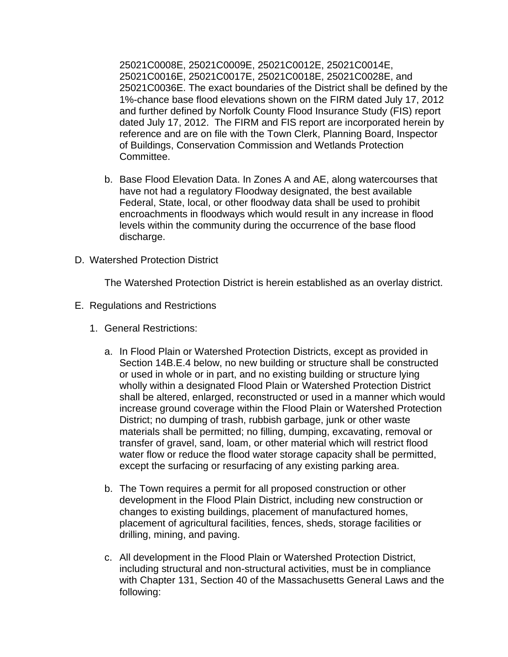25021C0008E, 25021C0009E, 25021C0012E, 25021C0014E, 25021C0016E, 25021C0017E, 25021C0018E, 25021C0028E, and 25021C0036E. The exact boundaries of the District shall be defined by the 1%-chance base flood elevations shown on the FIRM dated July 17, 2012 and further defined by Norfolk County Flood Insurance Study (FIS) report dated July 17, 2012. The FIRM and FIS report are incorporated herein by reference and are on file with the Town Clerk, Planning Board, Inspector of Buildings, Conservation Commission and Wetlands Protection Committee.

- b. Base Flood Elevation Data. In Zones A and AE, along watercourses that have not had a regulatory Floodway designated, the best available Federal, State, local, or other floodway data shall be used to prohibit encroachments in floodways which would result in any increase in flood levels within the community during the occurrence of the base flood discharge.
- D. Watershed Protection District

The Watershed Protection District is herein established as an overlay district.

- E. Regulations and Restrictions
	- 1. General Restrictions:
		- a. In Flood Plain or Watershed Protection Districts, except as provided in Section 14B.E.4 below, no new building or structure shall be constructed or used in whole or in part, and no existing building or structure lying wholly within a designated Flood Plain or Watershed Protection District shall be altered, enlarged, reconstructed or used in a manner which would increase ground coverage within the Flood Plain or Watershed Protection District; no dumping of trash, rubbish garbage, junk or other waste materials shall be permitted; no filling, dumping, excavating, removal or transfer of gravel, sand, loam, or other material which will restrict flood water flow or reduce the flood water storage capacity shall be permitted, except the surfacing or resurfacing of any existing parking area.
		- b. The Town requires a permit for all proposed construction or other development in the Flood Plain District, including new construction or changes to existing buildings, placement of manufactured homes, placement of agricultural facilities, fences, sheds, storage facilities or drilling, mining, and paving.
		- c. All development in the Flood Plain or Watershed Protection District, including structural and non-structural activities, must be in compliance with Chapter 131, Section 40 of the Massachusetts General Laws and the following: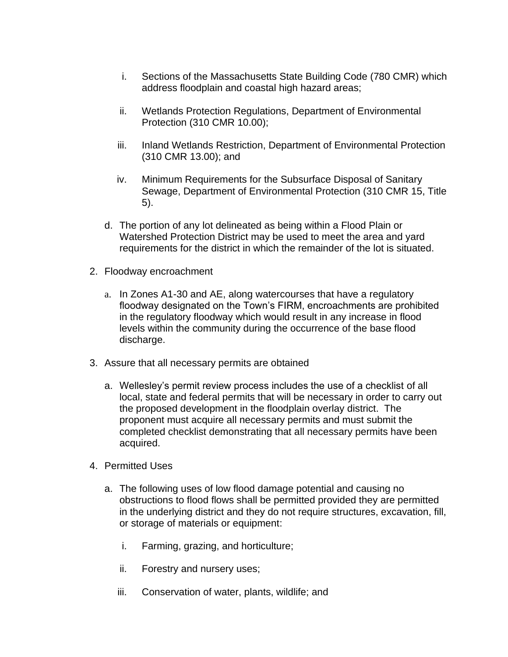- i. Sections of the Massachusetts State Building Code (780 CMR) which address floodplain and coastal high hazard areas;
- ii. Wetlands Protection Regulations, Department of Environmental Protection (310 CMR 10.00);
- iii. Inland Wetlands Restriction, Department of Environmental Protection (310 CMR 13.00); and
- iv. Minimum Requirements for the Subsurface Disposal of Sanitary Sewage, Department of Environmental Protection (310 CMR 15, Title 5).
- d. The portion of any lot delineated as being within a Flood Plain or Watershed Protection District may be used to meet the area and yard requirements for the district in which the remainder of the lot is situated.
- 2. Floodway encroachment
	- a. In Zones A1-30 and AE, along watercourses that have a regulatory floodway designated on the Town's FIRM, encroachments are prohibited in the regulatory floodway which would result in any increase in flood levels within the community during the occurrence of the base flood discharge.
- 3. Assure that all necessary permits are obtained
	- a. Wellesley's permit review process includes the use of a checklist of all local, state and federal permits that will be necessary in order to carry out the proposed development in the floodplain overlay district. The proponent must acquire all necessary permits and must submit the completed checklist demonstrating that all necessary permits have been acquired.
- 4. Permitted Uses
	- a. The following uses of low flood damage potential and causing no obstructions to flood flows shall be permitted provided they are permitted in the underlying district and they do not require structures, excavation, fill, or storage of materials or equipment:
		- i. Farming, grazing, and horticulture;
		- ii. Forestry and nursery uses;
		- iii. Conservation of water, plants, wildlife; and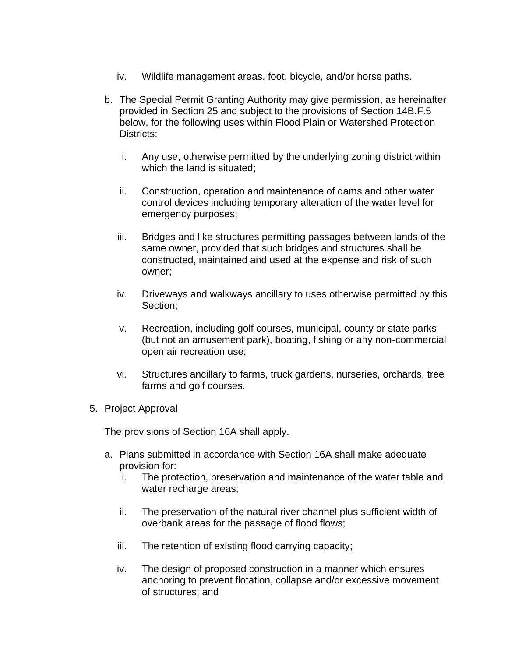- iv. Wildlife management areas, foot, bicycle, and/or horse paths.
- b. The Special Permit Granting Authority may give permission, as hereinafter provided in Section 25 and subject to the provisions of Section 14B.F.5 below, for the following uses within Flood Plain or Watershed Protection Districts:
	- i. Any use, otherwise permitted by the underlying zoning district within which the land is situated;
	- ii. Construction, operation and maintenance of dams and other water control devices including temporary alteration of the water level for emergency purposes;
	- iii. Bridges and like structures permitting passages between lands of the same owner, provided that such bridges and structures shall be constructed, maintained and used at the expense and risk of such owner;
	- iv. Driveways and walkways ancillary to uses otherwise permitted by this Section;
	- v. Recreation, including golf courses, municipal, county or state parks (but not an amusement park), boating, fishing or any non-commercial open air recreation use;
	- vi. Structures ancillary to farms, truck gardens, nurseries, orchards, tree farms and golf courses.
- 5. Project Approval

The provisions of Section 16A shall apply.

- a. Plans submitted in accordance with Section 16A shall make adequate provision for:
	- i. The protection, preservation and maintenance of the water table and water recharge areas;
	- ii. The preservation of the natural river channel plus sufficient width of overbank areas for the passage of flood flows;
	- iii. The retention of existing flood carrying capacity;
	- iv. The design of proposed construction in a manner which ensures anchoring to prevent flotation, collapse and/or excessive movement of structures; and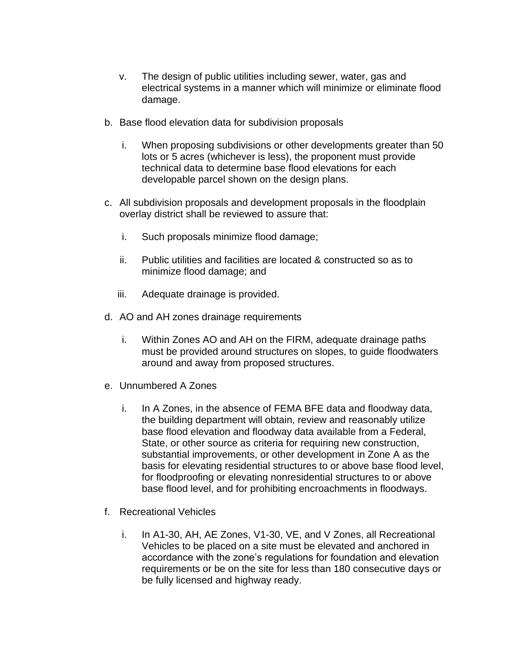- v. The design of public utilities including sewer, water, gas and electrical systems in a manner which will minimize or eliminate flood damage.
- b. Base flood elevation data for subdivision proposals
	- i. When proposing subdivisions or other developments greater than 50 lots or 5 acres (whichever is less), the proponent must provide technical data to determine base flood elevations for each developable parcel shown on the design plans.
- c. All subdivision proposals and development proposals in the floodplain overlay district shall be reviewed to assure that:
	- i. Such proposals minimize flood damage;
	- ii. Public utilities and facilities are located & constructed so as to minimize flood damage; and
	- iii. Adequate drainage is provided.
- d. AO and AH zones drainage requirements
	- i. Within Zones AO and AH on the FIRM, adequate drainage paths must be provided around structures on slopes, to guide floodwaters around and away from proposed structures.
- e. Unnumbered A Zones
	- i. In A Zones, in the absence of FEMA BFE data and floodway data, the building department will obtain, review and reasonably utilize base flood elevation and floodway data available from a Federal, State, or other source as criteria for requiring new construction, substantial improvements, or other development in Zone A as the basis for elevating residential structures to or above base flood level, for floodproofing or elevating nonresidential structures to or above base flood level, and for prohibiting encroachments in floodways.
- f. Recreational Vehicles
	- i. In A1-30, AH, AE Zones, V1-30, VE, and V Zones, all Recreational Vehicles to be placed on a site must be elevated and anchored in accordance with the zone's regulations for foundation and elevation requirements or be on the site for less than 180 consecutive days or be fully licensed and highway ready.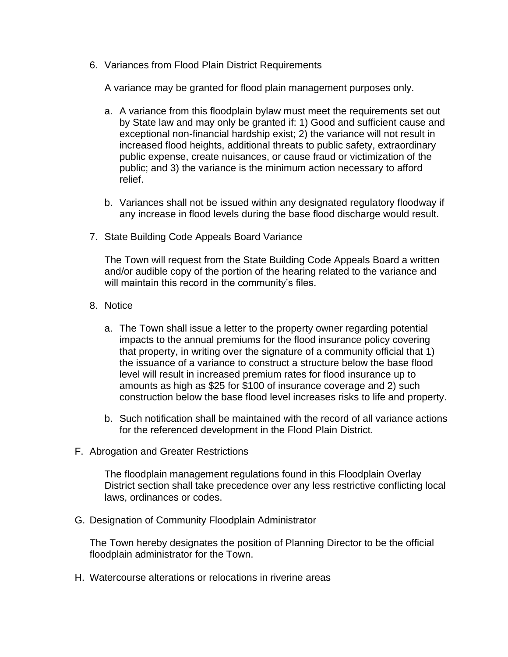6. Variances from Flood Plain District Requirements

A variance may be granted for flood plain management purposes only.

- a. A variance from this floodplain bylaw must meet the requirements set out by State law and may only be granted if: 1) Good and sufficient cause and exceptional non-financial hardship exist; 2) the variance will not result in increased flood heights, additional threats to public safety, extraordinary public expense, create nuisances, or cause fraud or victimization of the public; and 3) the variance is the minimum action necessary to afford relief.
- b. Variances shall not be issued within any designated regulatory floodway if any increase in flood levels during the base flood discharge would result.
- 7. State Building Code Appeals Board Variance

The Town will request from the State Building Code Appeals Board a written and/or audible copy of the portion of the hearing related to the variance and will maintain this record in the community's files.

- 8. Notice
	- a. The Town shall issue a letter to the property owner regarding potential impacts to the annual premiums for the flood insurance policy covering that property, in writing over the signature of a community official that 1) the issuance of a variance to construct a structure below the base flood level will result in increased premium rates for flood insurance up to amounts as high as \$25 for \$100 of insurance coverage and 2) such construction below the base flood level increases risks to life and property.
	- b. Such notification shall be maintained with the record of all variance actions for the referenced development in the Flood Plain District.
- F. Abrogation and Greater Restrictions

The floodplain management regulations found in this Floodplain Overlay District section shall take precedence over any less restrictive conflicting local laws, ordinances or codes.

G. Designation of Community Floodplain Administrator

The Town hereby designates the position of Planning Director to be the official floodplain administrator for the Town.

H. Watercourse alterations or relocations in riverine areas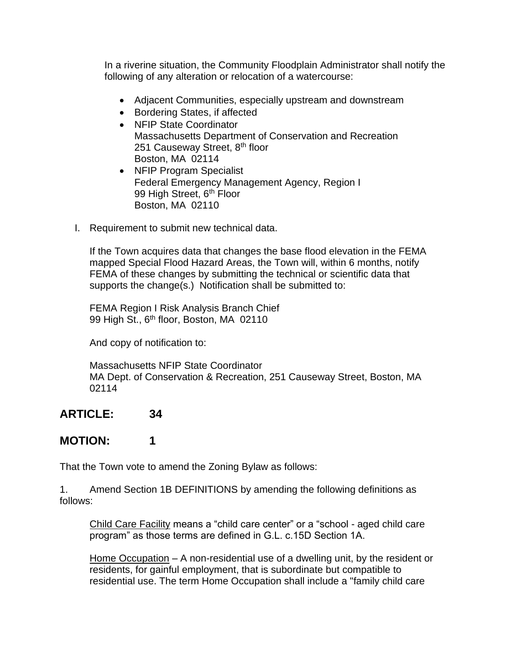In a riverine situation, the Community Floodplain Administrator shall notify the following of any alteration or relocation of a watercourse:

- Adjacent Communities, especially upstream and downstream
- Bordering States, if affected
- NFIP State Coordinator Massachusetts Department of Conservation and Recreation 251 Causeway Street, 8<sup>th</sup> floor Boston, MA 02114
- NFIP Program Specialist Federal Emergency Management Agency, Region I 99 High Street, 6<sup>th</sup> Floor Boston, MA 02110
- I. Requirement to submit new technical data.

If the Town acquires data that changes the base flood elevation in the FEMA mapped Special Flood Hazard Areas, the Town will, within 6 months, notify FEMA of these changes by submitting the technical or scientific data that supports the change(s.) Notification shall be submitted to:

FEMA Region I Risk Analysis Branch Chief 99 High St., 6<sup>th</sup> floor, Boston, MA 02110

And copy of notification to:

Massachusetts NFIP State Coordinator MA Dept. of Conservation & Recreation, 251 Causeway Street, Boston, MA 02114

### **ARTICLE: 34**

### **MOTION: 1**

That the Town vote to amend the Zoning Bylaw as follows:

1. Amend Section 1B DEFINITIONS by amending the following definitions as follows:

Child Care Facility means a "child care center" or a "school - aged child care program" as those terms are defined in G.L. c.15D Section 1A.

Home Occupation – A non-residential use of a dwelling unit, by the resident or residents, for gainful employment, that is subordinate but compatible to residential use. The term Home Occupation shall include a "family child care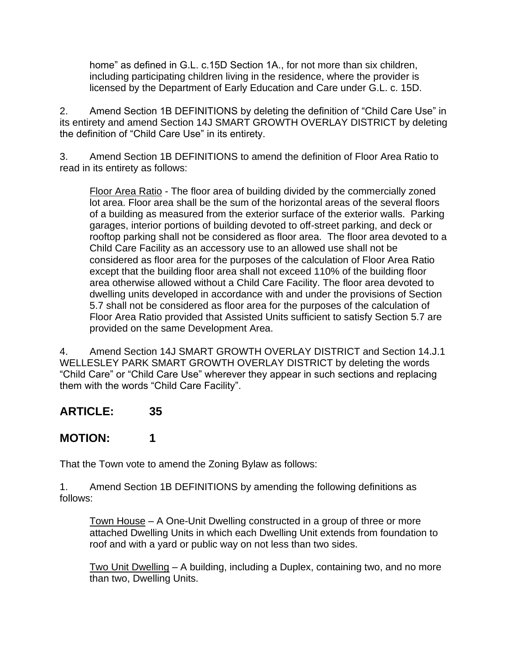home" as defined in G.L. c.15D Section 1A., for not more than six children, including participating children living in the residence, where the provider is licensed by the Department of Early Education and Care under G.L. c. 15D.

2. Amend Section 1B DEFINITIONS by deleting the definition of "Child Care Use" in its entirety and amend Section 14J SMART GROWTH OVERLAY DISTRICT by deleting the definition of "Child Care Use" in its entirety.

3. Amend Section 1B DEFINITIONS to amend the definition of Floor Area Ratio to read in its entirety as follows:

Floor Area Ratio - The floor area of building divided by the commercially zoned lot area. Floor area shall be the sum of the horizontal areas of the several floors of a building as measured from the exterior surface of the exterior walls. Parking garages, interior portions of building devoted to off-street parking, and deck or rooftop parking shall not be considered as floor area. The floor area devoted to a Child Care Facility as an accessory use to an allowed use shall not be considered as floor area for the purposes of the calculation of Floor Area Ratio except that the building floor area shall not exceed 110% of the building floor area otherwise allowed without a Child Care Facility. The floor area devoted to dwelling units developed in accordance with and under the provisions of Section 5.7 shall not be considered as floor area for the purposes of the calculation of Floor Area Ratio provided that Assisted Units sufficient to satisfy Section 5.7 are provided on the same Development Area.

4. Amend Section 14J SMART GROWTH OVERLAY DISTRICT and Section 14.J.1 WELLESLEY PARK SMART GROWTH OVERLAY DISTRICT by deleting the words "Child Care" or "Child Care Use" wherever they appear in such sections and replacing them with the words "Child Care Facility".

### **ARTICLE: 35**

## **MOTION: 1**

That the Town vote to amend the Zoning Bylaw as follows:

1. Amend Section 1B DEFINITIONS by amending the following definitions as follows:

Town House – A One-Unit Dwelling constructed in a group of three or more attached Dwelling Units in which each Dwelling Unit extends from foundation to roof and with a yard or public way on not less than two sides.

Two Unit Dwelling – A building, including a Duplex, containing two, and no more than two, Dwelling Units.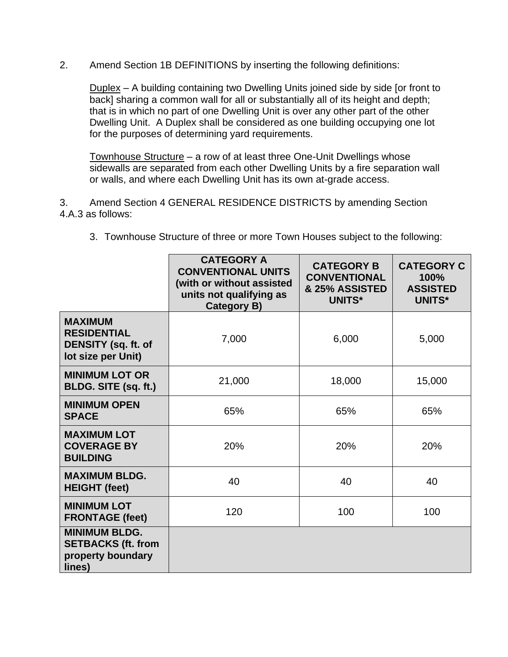2. Amend Section 1B DEFINITIONS by inserting the following definitions:

Duplex – A building containing two Dwelling Units joined side by side [or front to back] sharing a common wall for all or substantially all of its height and depth; that is in which no part of one Dwelling Unit is over any other part of the other Dwelling Unit. A Duplex shall be considered as one building occupying one lot for the purposes of determining yard requirements.

Townhouse Structure – a row of at least three One-Unit Dwellings whose sidewalls are separated from each other Dwelling Units by a fire separation wall or walls, and where each Dwelling Unit has its own at-grade access.

3. Amend Section 4 GENERAL RESIDENCE DISTRICTS by amending Section 4.A.3 as follows:

|                                                                                   | <b>CATEGORY A</b><br><b>CONVENTIONAL UNITS</b><br>(with or without assisted<br>units not qualifying as<br>Category B) | <b>CATEGORY B</b><br><b>CONVENTIONAL</b><br>& 25% ASSISTED<br><b>UNITS*</b> | <b>CATEGORY C</b><br>100%<br><b>ASSISTED</b><br><b>UNITS*</b> |
|-----------------------------------------------------------------------------------|-----------------------------------------------------------------------------------------------------------------------|-----------------------------------------------------------------------------|---------------------------------------------------------------|
| <b>MAXIMUM</b><br><b>RESIDENTIAL</b><br>DENSITY (sq. ft. of<br>lot size per Unit) | 7,000                                                                                                                 | 6,000                                                                       | 5,000                                                         |
| <b>MINIMUM LOT OR</b><br>BLDG. SITE (sq. ft.)                                     | 21,000                                                                                                                | 18,000                                                                      | 15,000                                                        |
| <b>MINIMUM OPEN</b><br><b>SPACE</b>                                               | 65%                                                                                                                   | 65%                                                                         | 65%                                                           |
| <b>MAXIMUM LOT</b><br><b>COVERAGE BY</b><br><b>BUILDING</b>                       | 20%                                                                                                                   | 20%                                                                         | 20%                                                           |
| <b>MAXIMUM BLDG.</b><br><b>HEIGHT (feet)</b>                                      | 40                                                                                                                    | 40                                                                          | 40                                                            |
| <b>MINIMUM LOT</b><br><b>FRONTAGE (feet)</b>                                      | 120                                                                                                                   | 100                                                                         | 100                                                           |
| <b>MINIMUM BLDG.</b><br><b>SETBACKS (ft. from</b><br>property boundary<br>lines)  |                                                                                                                       |                                                                             |                                                               |

3. Townhouse Structure of three or more Town Houses subject to the following: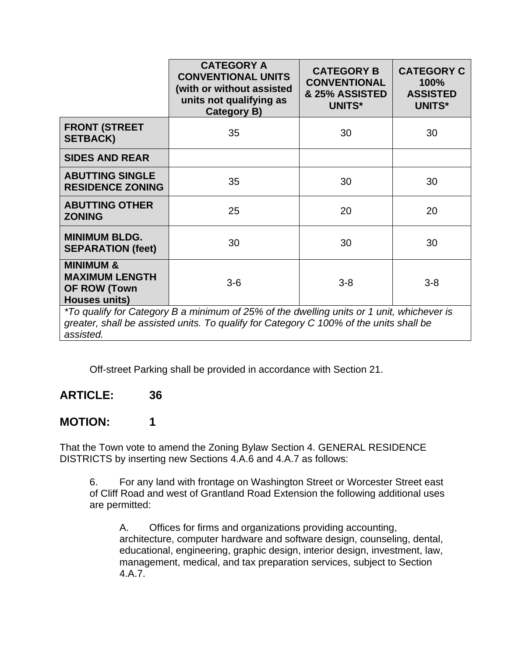|                                                                                                                                                                                                  | <b>CATEGORY A</b><br><b>CONVENTIONAL UNITS</b><br>(with or without assisted<br>units not qualifying as<br>Category B) | <b>CATEGORY B</b><br><b>CONVENTIONAL</b><br>& 25% ASSISTED<br><b>UNITS*</b> | <b>CATEGORY C</b><br>100%<br><b>ASSISTED</b><br><b>UNITS*</b> |
|--------------------------------------------------------------------------------------------------------------------------------------------------------------------------------------------------|-----------------------------------------------------------------------------------------------------------------------|-----------------------------------------------------------------------------|---------------------------------------------------------------|
| <b>FRONT (STREET</b><br><b>SETBACK)</b>                                                                                                                                                          | 35                                                                                                                    | 30                                                                          | 30                                                            |
| <b>SIDES AND REAR</b>                                                                                                                                                                            |                                                                                                                       |                                                                             |                                                               |
| <b>ABUTTING SINGLE</b><br><b>RESIDENCE ZONING</b>                                                                                                                                                | 35                                                                                                                    | 30                                                                          | 30                                                            |
| <b>ABUTTING OTHER</b><br><b>ZONING</b>                                                                                                                                                           | 25                                                                                                                    | 20                                                                          | 20                                                            |
| <b>MINIMUM BLDG.</b><br><b>SEPARATION (feet)</b>                                                                                                                                                 | 30                                                                                                                    | 30                                                                          | 30                                                            |
| <b>MINIMUM &amp;</b><br><b>MAXIMUM LENGTH</b><br><b>OF ROW (Town</b><br><b>Houses units)</b>                                                                                                     | $3-6$                                                                                                                 | $3 - 8$                                                                     | $3 - 8$                                                       |
| *To qualify for Category B a minimum of 25% of the dwelling units or 1 unit, whichever is<br>greater, shall be assisted units. To qualify for Category C 100% of the units shall be<br>assisted. |                                                                                                                       |                                                                             |                                                               |

Off-street Parking shall be provided in accordance with Section 21.

### **ARTICLE: 36**

### **MOTION: 1**

That the Town vote to amend the Zoning Bylaw Section 4. GENERAL RESIDENCE DISTRICTS by inserting new Sections 4.A.6 and 4.A.7 as follows:

6. For any land with frontage on Washington Street or Worcester Street east of Cliff Road and west of Grantland Road Extension the following additional uses are permitted:

A. Offices for firms and organizations providing accounting, architecture, computer hardware and software design, counseling, dental, educational, engineering, graphic design, interior design, investment, law, management, medical, and tax preparation services, subject to Section 4.A.7.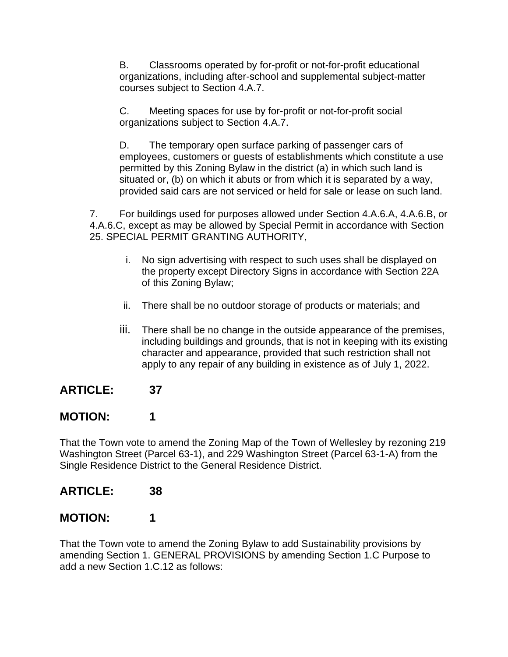B. Classrooms operated by for-profit or not-for-profit educational organizations, including after-school and supplemental subject-matter courses subject to Section 4.A.7.

C. Meeting spaces for use by for-profit or not-for-profit social organizations subject to Section 4.A.7.

D. The temporary open surface parking of passenger cars of employees, customers or guests of establishments which constitute a use permitted by this Zoning Bylaw in the district (a) in which such land is situated or, (b) on which it abuts or from which it is separated by a way, provided said cars are not serviced or held for sale or lease on such land.

7. For buildings used for purposes allowed under Section 4.A.6.A, 4.A.6.B, or 4.A.6.C, except as may be allowed by Special Permit in accordance with Section 25. SPECIAL PERMIT GRANTING AUTHORITY,

- i. No sign advertising with respect to such uses shall be displayed on the property except Directory Signs in accordance with Section 22A of this Zoning Bylaw;
- ii. There shall be no outdoor storage of products or materials; and
- iii. There shall be no change in the outside appearance of the premises, including buildings and grounds, that is not in keeping with its existing character and appearance, provided that such restriction shall not apply to any repair of any building in existence as of July 1, 2022.

## **ARTICLE: 37**

## **MOTION: 1**

That the Town vote to amend the Zoning Map of the Town of Wellesley by rezoning 219 Washington Street (Parcel 63-1), and 229 Washington Street (Parcel 63-1-A) from the Single Residence District to the General Residence District.

### **ARTICLE: 38**

## **MOTION: 1**

That the Town vote to amend the Zoning Bylaw to add Sustainability provisions by amending Section 1. GENERAL PROVISIONS by amending Section 1.C Purpose to add a new Section 1.C.12 as follows: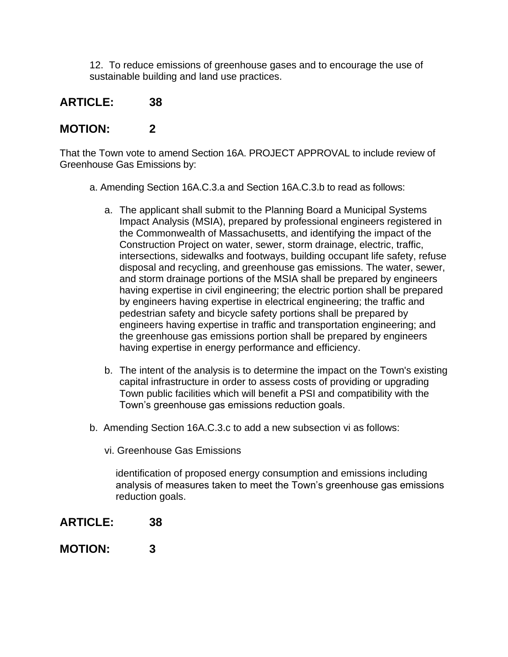12. To reduce emissions of greenhouse gases and to encourage the use of sustainable building and land use practices.

## **ARTICLE: 38**

### **MOTION: 2**

That the Town vote to amend Section 16A. PROJECT APPROVAL to include review of Greenhouse Gas Emissions by:

- a. Amending Section 16A.C.3.a and Section 16A.C.3.b to read as follows:
	- a. The applicant shall submit to the Planning Board a Municipal Systems Impact Analysis (MSIA), prepared by professional engineers registered in the Commonwealth of Massachusetts, and identifying the impact of the Construction Project on water, sewer, storm drainage, electric, traffic, intersections, sidewalks and footways, building occupant life safety, refuse disposal and recycling, and greenhouse gas emissions. The water, sewer, and storm drainage portions of the MSIA shall be prepared by engineers having expertise in civil engineering; the electric portion shall be prepared by engineers having expertise in electrical engineering; the traffic and pedestrian safety and bicycle safety portions shall be prepared by engineers having expertise in traffic and transportation engineering; and the greenhouse gas emissions portion shall be prepared by engineers having expertise in energy performance and efficiency.
	- b. The intent of the analysis is to determine the impact on the Town's existing capital infrastructure in order to assess costs of providing or upgrading Town public facilities which will benefit a PSI and compatibility with the Town's greenhouse gas emissions reduction goals.
- b. Amending Section 16A.C.3.c to add a new subsection vi as follows:
	- vi. Greenhouse Gas Emissions

identification of proposed energy consumption and emissions including analysis of measures taken to meet the Town's greenhouse gas emissions reduction goals.

- **ARTICLE: 38**
- **MOTION: 3**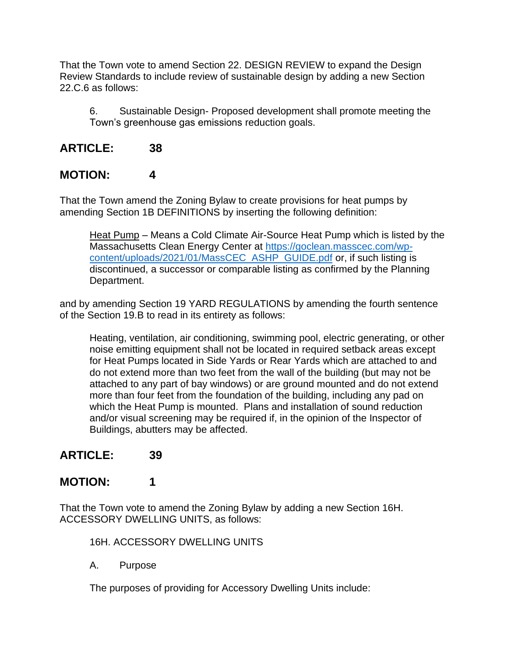That the Town vote to amend Section 22. DESIGN REVIEW to expand the Design Review Standards to include review of sustainable design by adding a new Section 22.C.6 as follows:

6. Sustainable Design- Proposed development shall promote meeting the Town's greenhouse gas emissions reduction goals.

### **ARTICLE: 38**

### **MOTION: 4**

That the Town amend the Zoning Bylaw to create provisions for heat pumps by amending Section 1B DEFINITIONS by inserting the following definition:

Heat Pump – Means a Cold Climate Air-Source Heat Pump which is listed by the Massachusetts Clean Energy Center at [https://goclean.masscec.com/wp](https://goclean.masscec.com/wp-content/uploads/2021/01/MassCEC_ASHP_GUIDE.pdf)[content/uploads/2021/01/MassCEC\\_ASHP\\_GUIDE.pdf](https://goclean.masscec.com/wp-content/uploads/2021/01/MassCEC_ASHP_GUIDE.pdf) or, if such listing is discontinued, a successor or comparable listing as confirmed by the Planning Department.

and by amending Section 19 YARD REGULATIONS by amending the fourth sentence of the Section 19.B to read in its entirety as follows:

Heating, ventilation, air conditioning, swimming pool, electric generating, or other noise emitting equipment shall not be located in required setback areas except for Heat Pumps located in Side Yards or Rear Yards which are attached to and do not extend more than two feet from the wall of the building (but may not be attached to any part of bay windows) or are ground mounted and do not extend more than four feet from the foundation of the building, including any pad on which the Heat Pump is mounted. Plans and installation of sound reduction and/or visual screening may be required if, in the opinion of the Inspector of Buildings, abutters may be affected.

### **ARTICLE: 39**

### **MOTION: 1**

That the Town vote to amend the Zoning Bylaw by adding a new Section 16H. ACCESSORY DWELLING UNITS, as follows:

16H. ACCESSORY DWELLING UNITS

A. Purpose

The purposes of providing for Accessory Dwelling Units include: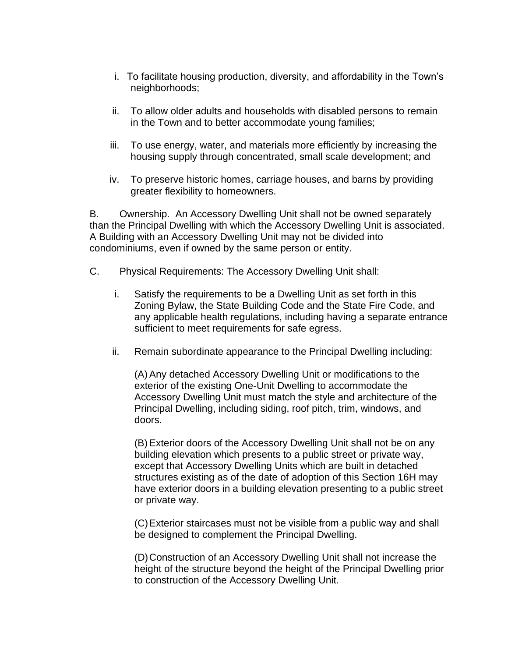- i. To facilitate housing production, diversity, and affordability in the Town's neighborhoods;
- ii. To allow older adults and households with disabled persons to remain in the Town and to better accommodate young families;
- iii. To use energy, water, and materials more efficiently by increasing the housing supply through concentrated, small scale development; and
- iv. To preserve historic homes, carriage houses, and barns by providing greater flexibility to homeowners.

B. Ownership. An Accessory Dwelling Unit shall not be owned separately than the Principal Dwelling with which the Accessory Dwelling Unit is associated. A Building with an Accessory Dwelling Unit may not be divided into condominiums, even if owned by the same person or entity.

- C. Physical Requirements: The Accessory Dwelling Unit shall:
	- i. Satisfy the requirements to be a Dwelling Unit as set forth in this Zoning Bylaw, the State Building Code and the State Fire Code, and any applicable health regulations, including having a separate entrance sufficient to meet requirements for safe egress.
	- ii. Remain subordinate appearance to the Principal Dwelling including:

(A) Any detached Accessory Dwelling Unit or modifications to the exterior of the existing One-Unit Dwelling to accommodate the Accessory Dwelling Unit must match the style and architecture of the Principal Dwelling, including siding, roof pitch, trim, windows, and doors.

(B) Exterior doors of the Accessory Dwelling Unit shall not be on any building elevation which presents to a public street or private way, except that Accessory Dwelling Units which are built in detached structures existing as of the date of adoption of this Section 16H may have exterior doors in a building elevation presenting to a public street or private way.

(C)Exterior staircases must not be visible from a public way and shall be designed to complement the Principal Dwelling.

(D)Construction of an Accessory Dwelling Unit shall not increase the height of the structure beyond the height of the Principal Dwelling prior to construction of the Accessory Dwelling Unit.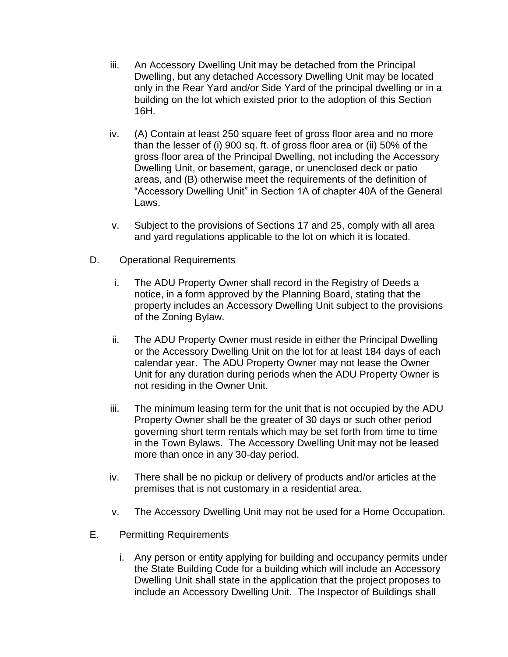- iii. An Accessory Dwelling Unit may be detached from the Principal Dwelling, but any detached Accessory Dwelling Unit may be located only in the Rear Yard and/or Side Yard of the principal dwelling or in a building on the lot which existed prior to the adoption of this Section 16H.
- iv. (A) Contain at least 250 square feet of gross floor area and no more than the lesser of (i) 900 sq. ft. of gross floor area or (ii) 50% of the gross floor area of the Principal Dwelling, not including the Accessory Dwelling Unit, or basement, garage, or unenclosed deck or patio areas, and (B) otherwise meet the requirements of the definition of "Accessory Dwelling Unit" in Section 1A of chapter 40A of the General Laws.
- v. Subject to the provisions of Sections 17 and 25, comply with all area and yard regulations applicable to the lot on which it is located.
- D. Operational Requirements
	- i. The ADU Property Owner shall record in the Registry of Deeds a notice, in a form approved by the Planning Board, stating that the property includes an Accessory Dwelling Unit subject to the provisions of the Zoning Bylaw.
	- ii. The ADU Property Owner must reside in either the Principal Dwelling or the Accessory Dwelling Unit on the lot for at least 184 days of each calendar year. The ADU Property Owner may not lease the Owner Unit for any duration during periods when the ADU Property Owner is not residing in the Owner Unit.
	- iii. The minimum leasing term for the unit that is not occupied by the ADU Property Owner shall be the greater of 30 days or such other period governing short term rentals which may be set forth from time to time in the Town Bylaws. The Accessory Dwelling Unit may not be leased more than once in any 30-day period.
	- iv. There shall be no pickup or delivery of products and/or articles at the premises that is not customary in a residential area.
	- v. The Accessory Dwelling Unit may not be used for a Home Occupation.
- E. Permitting Requirements
	- i. Any person or entity applying for building and occupancy permits under the State Building Code for a building which will include an Accessory Dwelling Unit shall state in the application that the project proposes to include an Accessory Dwelling Unit. The Inspector of Buildings shall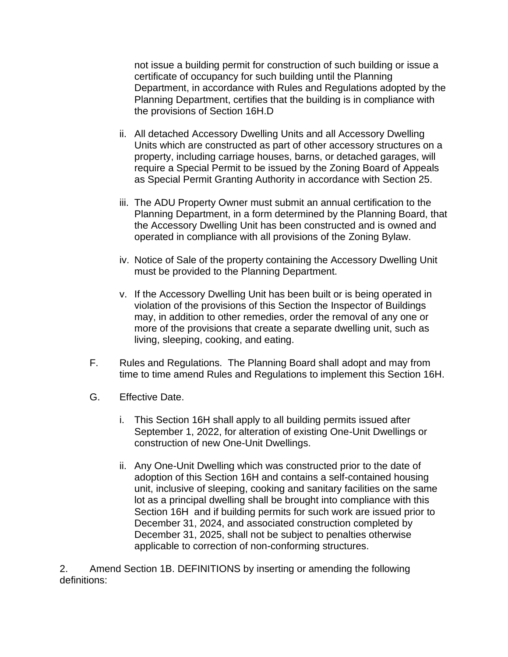not issue a building permit for construction of such building or issue a certificate of occupancy for such building until the Planning Department, in accordance with Rules and Regulations adopted by the Planning Department, certifies that the building is in compliance with the provisions of Section 16H.D

- ii. All detached Accessory Dwelling Units and all Accessory Dwelling Units which are constructed as part of other accessory structures on a property, including carriage houses, barns, or detached garages, will require a Special Permit to be issued by the Zoning Board of Appeals as Special Permit Granting Authority in accordance with Section 25.
- iii. The ADU Property Owner must submit an annual certification to the Planning Department, in a form determined by the Planning Board, that the Accessory Dwelling Unit has been constructed and is owned and operated in compliance with all provisions of the Zoning Bylaw.
- iv. Notice of Sale of the property containing the Accessory Dwelling Unit must be provided to the Planning Department.
- v. If the Accessory Dwelling Unit has been built or is being operated in violation of the provisions of this Section the Inspector of Buildings may, in addition to other remedies, order the removal of any one or more of the provisions that create a separate dwelling unit, such as living, sleeping, cooking, and eating.
- F. Rules and Regulations. The Planning Board shall adopt and may from time to time amend Rules and Regulations to implement this Section 16H.
- G. Effective Date.
	- i. This Section 16H shall apply to all building permits issued after September 1, 2022, for alteration of existing One-Unit Dwellings or construction of new One-Unit Dwellings.
	- ii. Any One-Unit Dwelling which was constructed prior to the date of adoption of this Section 16H and contains a self-contained housing unit, inclusive of sleeping, cooking and sanitary facilities on the same lot as a principal dwelling shall be brought into compliance with this Section 16H and if building permits for such work are issued prior to December 31, 2024, and associated construction completed by December 31, 2025, shall not be subject to penalties otherwise applicable to correction of non-conforming structures.

2. Amend Section 1B. DEFINITIONS by inserting or amending the following definitions: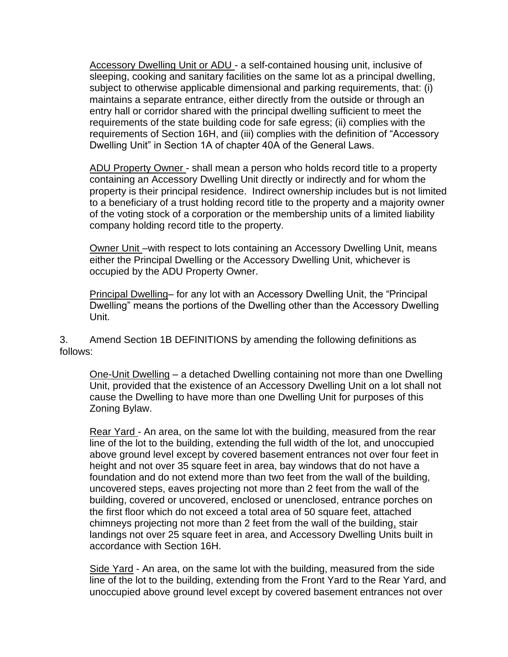Accessory Dwelling Unit or ADU - a self-contained housing unit, inclusive of sleeping, cooking and sanitary facilities on the same lot as a principal dwelling, subject to otherwise applicable dimensional and parking requirements, that: (i) maintains a separate entrance, either directly from the outside or through an entry hall or corridor shared with the principal dwelling sufficient to meet the requirements of the state building code for safe egress; (ii) complies with the requirements of Section 16H, and (iii) complies with the definition of "Accessory Dwelling Unit" in Section 1A of chapter 40A of the General Laws.

ADU Property Owner - shall mean a person who holds record title to a property containing an Accessory Dwelling Unit directly or indirectly and for whom the property is their principal residence. Indirect ownership includes but is not limited to a beneficiary of a trust holding record title to the property and a majority owner of the voting stock of a corporation or the membership units of a limited liability company holding record title to the property.

Owner Unit –with respect to lots containing an Accessory Dwelling Unit, means either the Principal Dwelling or the Accessory Dwelling Unit, whichever is occupied by the ADU Property Owner.

Principal Dwelling– for any lot with an Accessory Dwelling Unit, the "Principal Dwelling" means the portions of the Dwelling other than the Accessory Dwelling Unit.

3. Amend Section 1B DEFINITIONS by amending the following definitions as follows:

One-Unit Dwelling – a detached Dwelling containing not more than one Dwelling Unit, provided that the existence of an Accessory Dwelling Unit on a lot shall not cause the Dwelling to have more than one Dwelling Unit for purposes of this Zoning Bylaw.

Rear Yard - An area, on the same lot with the building, measured from the rear line of the lot to the building, extending the full width of the lot, and unoccupied above ground level except by covered basement entrances not over four feet in height and not over 35 square feet in area, bay windows that do not have a foundation and do not extend more than two feet from the wall of the building, uncovered steps, eaves projecting not more than 2 feet from the wall of the building, covered or uncovered, enclosed or unenclosed, entrance porches on the first floor which do not exceed a total area of 50 square feet, attached chimneys projecting not more than 2 feet from the wall of the building, stair landings not over 25 square feet in area, and Accessory Dwelling Units built in accordance with Section 16H.

Side Yard - An area, on the same lot with the building, measured from the side line of the lot to the building, extending from the Front Yard to the Rear Yard, and unoccupied above ground level except by covered basement entrances not over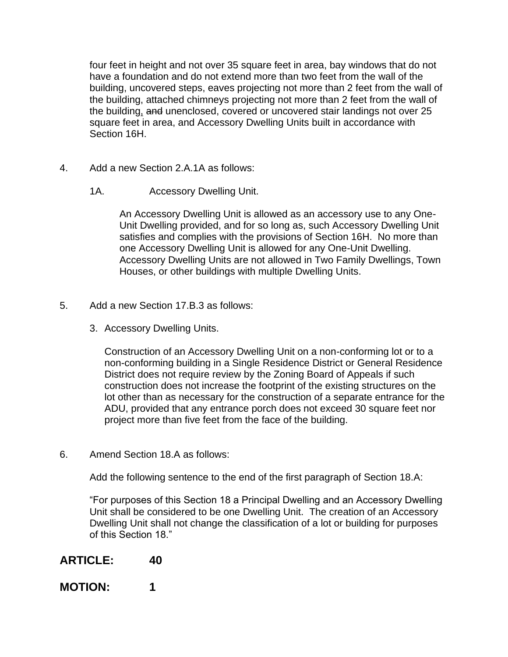four feet in height and not over 35 square feet in area, bay windows that do not have a foundation and do not extend more than two feet from the wall of the building, uncovered steps, eaves projecting not more than 2 feet from the wall of the building, attached chimneys projecting not more than 2 feet from the wall of the building, and unenclosed, covered or uncovered stair landings not over 25 square feet in area, and Accessory Dwelling Units built in accordance with Section 16H.

- 4. Add a new Section 2.A.1A as follows:
	- 1A. Accessory Dwelling Unit.

An Accessory Dwelling Unit is allowed as an accessory use to any One-Unit Dwelling provided, and for so long as, such Accessory Dwelling Unit satisfies and complies with the provisions of Section 16H. No more than one Accessory Dwelling Unit is allowed for any One-Unit Dwelling. Accessory Dwelling Units are not allowed in Two Family Dwellings, Town Houses, or other buildings with multiple Dwelling Units.

- 5. Add a new Section 17.B.3 as follows:
	- 3. Accessory Dwelling Units.

Construction of an Accessory Dwelling Unit on a non-conforming lot or to a non-conforming building in a Single Residence District or General Residence District does not require review by the Zoning Board of Appeals if such construction does not increase the footprint of the existing structures on the lot other than as necessary for the construction of a separate entrance for the ADU, provided that any entrance porch does not exceed 30 square feet nor project more than five feet from the face of the building.

6. Amend Section 18.A as follows:

Add the following sentence to the end of the first paragraph of Section 18.A:

"For purposes of this Section 18 a Principal Dwelling and an Accessory Dwelling Unit shall be considered to be one Dwelling Unit. The creation of an Accessory Dwelling Unit shall not change the classification of a lot or building for purposes of this Section 18."

### **ARTICLE: 40**

#### **MOTION: 1**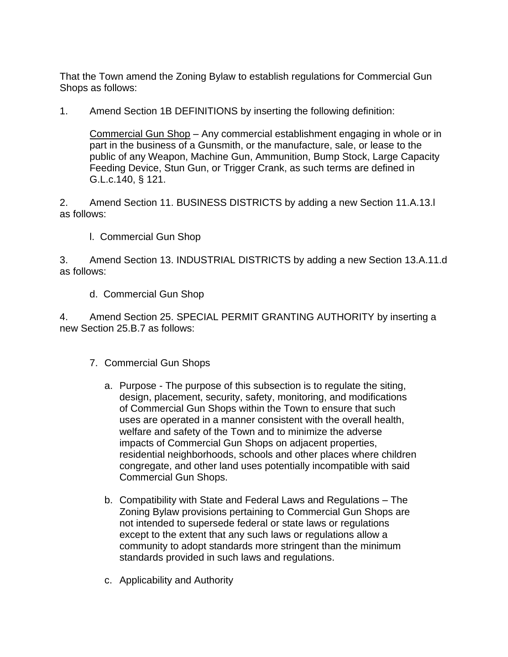That the Town amend the Zoning Bylaw to establish regulations for Commercial Gun Shops as follows:

1. Amend Section 1B DEFINITIONS by inserting the following definition:

Commercial Gun Shop – Any commercial establishment engaging in whole or in part in the business of a Gunsmith, or the manufacture, sale, or lease to the public of any Weapon, Machine Gun, Ammunition, Bump Stock, Large Capacity Feeding Device, Stun Gun, or Trigger Crank, as such terms are defined in G.L.c.140, § 121.

2. Amend Section 11. BUSINESS DISTRICTS by adding a new Section 11.A.13.l as follows:

l. Commercial Gun Shop

3. Amend Section 13. INDUSTRIAL DISTRICTS by adding a new Section 13.A.11.d as follows:

d. Commercial Gun Shop

4. Amend Section 25. SPECIAL PERMIT GRANTING AUTHORITY by inserting a new Section 25.B.7 as follows:

- 7. Commercial Gun Shops
	- a. Purpose The purpose of this subsection is to regulate the siting, design, placement, security, safety, monitoring, and modifications of Commercial Gun Shops within the Town to ensure that such uses are operated in a manner consistent with the overall health, welfare and safety of the Town and to minimize the adverse impacts of Commercial Gun Shops on adjacent properties, residential neighborhoods, schools and other places where children congregate, and other land uses potentially incompatible with said Commercial Gun Shops.
	- b. Compatibility with State and Federal Laws and Regulations The Zoning Bylaw provisions pertaining to Commercial Gun Shops are not intended to supersede federal or state laws or regulations except to the extent that any such laws or regulations allow a community to adopt standards more stringent than the minimum standards provided in such laws and regulations.
	- c. Applicability and Authority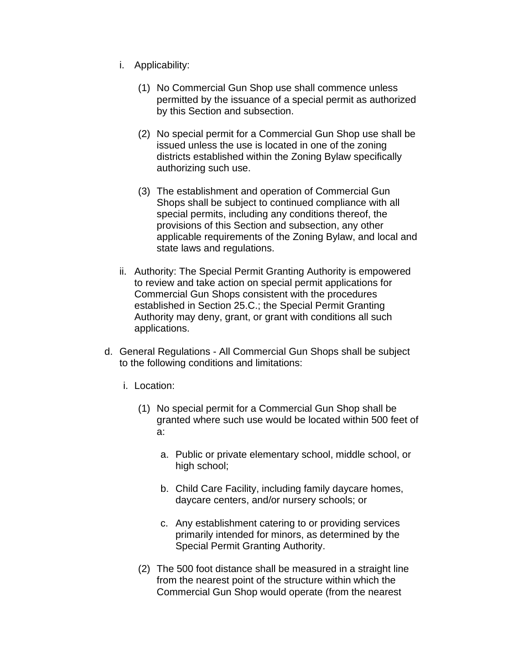- i. Applicability:
	- (1) No Commercial Gun Shop use shall commence unless permitted by the issuance of a special permit as authorized by this Section and subsection.
	- (2) No special permit for a Commercial Gun Shop use shall be issued unless the use is located in one of the zoning districts established within the Zoning Bylaw specifically authorizing such use.
	- (3) The establishment and operation of Commercial Gun Shops shall be subject to continued compliance with all special permits, including any conditions thereof, the provisions of this Section and subsection, any other applicable requirements of the Zoning Bylaw, and local and state laws and regulations.
- ii. Authority: The Special Permit Granting Authority is empowered to review and take action on special permit applications for Commercial Gun Shops consistent with the procedures established in Section 25.C.; the Special Permit Granting Authority may deny, grant, or grant with conditions all such applications.
- d. General Regulations All Commercial Gun Shops shall be subject to the following conditions and limitations:
	- i. Location:
		- (1) No special permit for a Commercial Gun Shop shall be granted where such use would be located within 500 feet of a:
			- a. Public or private elementary school, middle school, or high school;
			- b. Child Care Facility, including family daycare homes, daycare centers, and/or nursery schools; or
			- c. Any establishment catering to or providing services primarily intended for minors, as determined by the Special Permit Granting Authority.
		- (2) The 500 foot distance shall be measured in a straight line from the nearest point of the structure within which the Commercial Gun Shop would operate (from the nearest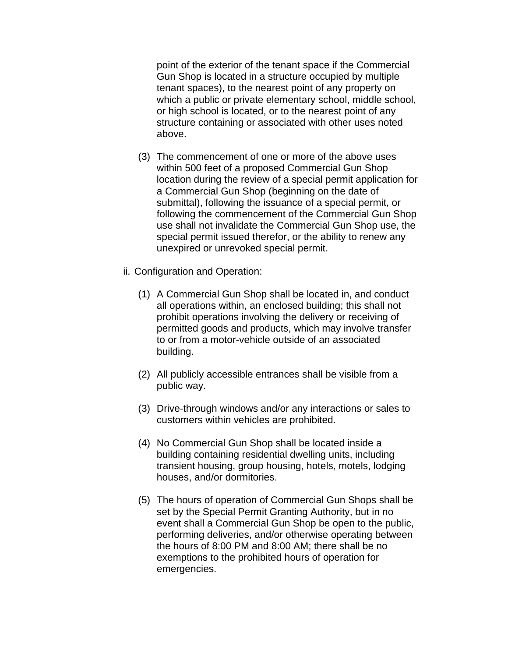point of the exterior of the tenant space if the Commercial Gun Shop is located in a structure occupied by multiple tenant spaces), to the nearest point of any property on which a public or private elementary school, middle school, or high school is located, or to the nearest point of any structure containing or associated with other uses noted above.

- (3) The commencement of one or more of the above uses within 500 feet of a proposed Commercial Gun Shop location during the review of a special permit application for a Commercial Gun Shop (beginning on the date of submittal), following the issuance of a special permit, or following the commencement of the Commercial Gun Shop use shall not invalidate the Commercial Gun Shop use, the special permit issued therefor, or the ability to renew any unexpired or unrevoked special permit.
- ii. Configuration and Operation:
	- (1) A Commercial Gun Shop shall be located in, and conduct all operations within, an enclosed building; this shall not prohibit operations involving the delivery or receiving of permitted goods and products, which may involve transfer to or from a motor-vehicle outside of an associated building.
	- (2) All publicly accessible entrances shall be visible from a public way.
	- (3) Drive-through windows and/or any interactions or sales to customers within vehicles are prohibited.
	- (4) No Commercial Gun Shop shall be located inside a building containing residential dwelling units, including transient housing, group housing, hotels, motels, lodging houses, and/or dormitories.
	- (5) The hours of operation of Commercial Gun Shops shall be set by the Special Permit Granting Authority, but in no event shall a Commercial Gun Shop be open to the public, performing deliveries, and/or otherwise operating between the hours of 8:00 PM and 8:00 AM; there shall be no exemptions to the prohibited hours of operation for emergencies.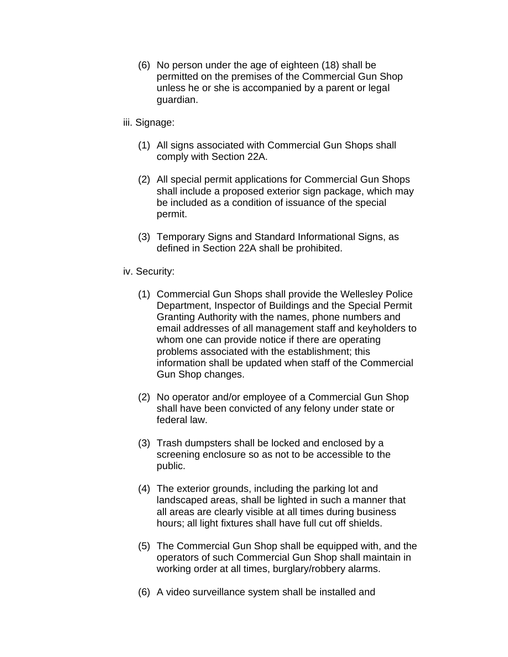- (6) No person under the age of eighteen (18) shall be permitted on the premises of the Commercial Gun Shop unless he or she is accompanied by a parent or legal guardian.
- iii. Signage:
	- (1) All signs associated with Commercial Gun Shops shall comply with Section 22A.
	- (2) All special permit applications for Commercial Gun Shops shall include a proposed exterior sign package, which may be included as a condition of issuance of the special permit.
	- (3) Temporary Signs and Standard Informational Signs, as defined in Section 22A shall be prohibited.
- iv. Security:
	- (1) Commercial Gun Shops shall provide the Wellesley Police Department, Inspector of Buildings and the Special Permit Granting Authority with the names, phone numbers and email addresses of all management staff and keyholders to whom one can provide notice if there are operating problems associated with the establishment; this information shall be updated when staff of the Commercial Gun Shop changes.
	- (2) No operator and/or employee of a Commercial Gun Shop shall have been convicted of any felony under state or federal law.
	- (3) Trash dumpsters shall be locked and enclosed by a screening enclosure so as not to be accessible to the public.
	- (4) The exterior grounds, including the parking lot and landscaped areas, shall be lighted in such a manner that all areas are clearly visible at all times during business hours; all light fixtures shall have full cut off shields.
	- (5) The Commercial Gun Shop shall be equipped with, and the operators of such Commercial Gun Shop shall maintain in working order at all times, burglary/robbery alarms.
	- (6) A video surveillance system shall be installed and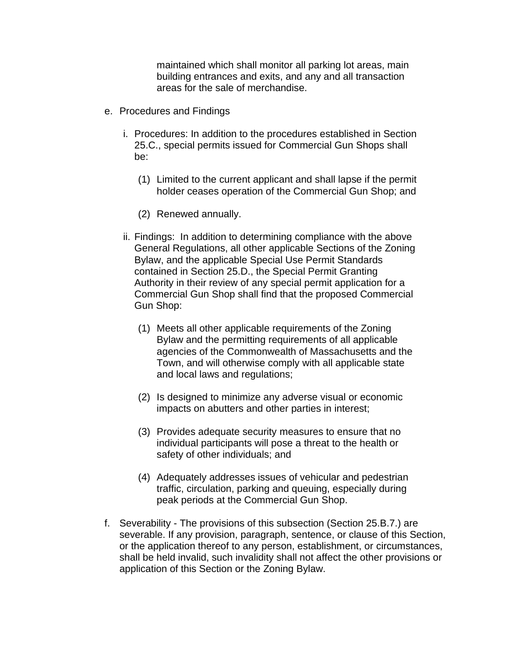maintained which shall monitor all parking lot areas, main building entrances and exits, and any and all transaction areas for the sale of merchandise.

- e. Procedures and Findings
	- i. Procedures: In addition to the procedures established in Section 25.C., special permits issued for Commercial Gun Shops shall be:
		- (1) Limited to the current applicant and shall lapse if the permit holder ceases operation of the Commercial Gun Shop; and
		- (2) Renewed annually.
	- ii. Findings: In addition to determining compliance with the above General Regulations, all other applicable Sections of the Zoning Bylaw, and the applicable Special Use Permit Standards contained in Section 25.D., the Special Permit Granting Authority in their review of any special permit application for a Commercial Gun Shop shall find that the proposed Commercial Gun Shop:
		- (1) Meets all other applicable requirements of the Zoning Bylaw and the permitting requirements of all applicable agencies of the Commonwealth of Massachusetts and the Town, and will otherwise comply with all applicable state and local laws and regulations;
		- (2) Is designed to minimize any adverse visual or economic impacts on abutters and other parties in interest;
		- (3) Provides adequate security measures to ensure that no individual participants will pose a threat to the health or safety of other individuals; and
		- (4) Adequately addresses issues of vehicular and pedestrian traffic, circulation, parking and queuing, especially during peak periods at the Commercial Gun Shop.
- f. Severability The provisions of this subsection (Section 25.B.7.) are severable. If any provision, paragraph, sentence, or clause of this Section, or the application thereof to any person, establishment, or circumstances, shall be held invalid, such invalidity shall not affect the other provisions or application of this Section or the Zoning Bylaw.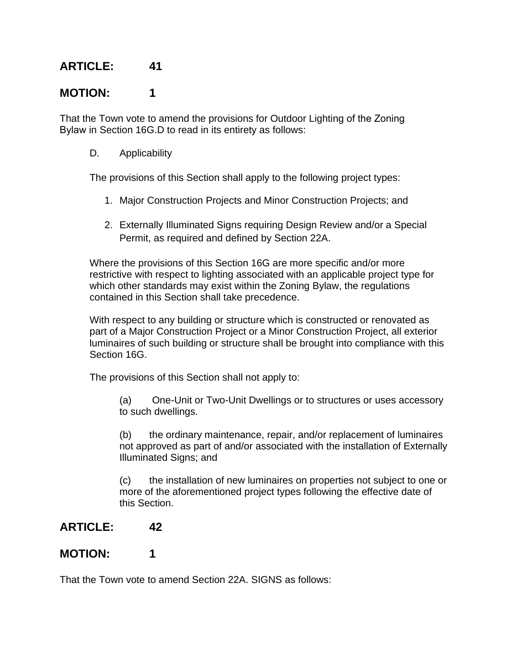## **MOTION: 1**

That the Town vote to amend the provisions for Outdoor Lighting of the Zoning Bylaw in Section 16G.D to read in its entirety as follows:

D. Applicability

The provisions of this Section shall apply to the following project types:

- 1. Major Construction Projects and Minor Construction Projects; and
- 2. Externally Illuminated Signs requiring Design Review and/or a Special Permit, as required and defined by Section 22A.

Where the provisions of this Section 16G are more specific and/or more restrictive with respect to lighting associated with an applicable project type for which other standards may exist within the Zoning Bylaw, the regulations contained in this Section shall take precedence.

With respect to any building or structure which is constructed or renovated as part of a Major Construction Project or a Minor Construction Project, all exterior luminaires of such building or structure shall be brought into compliance with this Section 16G.

The provisions of this Section shall not apply to:

(a) One-Unit or Two-Unit Dwellings or to structures or uses accessory to such dwellings.

(b) the ordinary maintenance, repair, and/or replacement of luminaires not approved as part of and/or associated with the installation of Externally Illuminated Signs; and

(c) the installation of new luminaires on properties not subject to one or more of the aforementioned project types following the effective date of this Section.

### **ARTICLE: 42**

### **MOTION: 1**

That the Town vote to amend Section 22A. SIGNS as follows: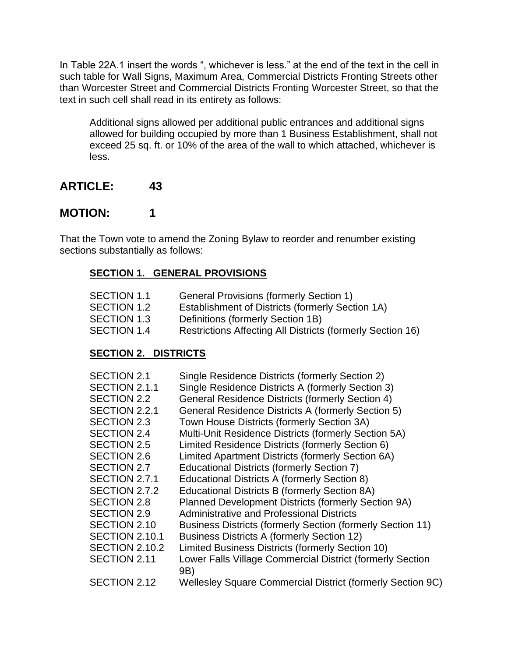In Table 22A.1 insert the words ", whichever is less." at the end of the text in the cell in such table for Wall Signs, Maximum Area, Commercial Districts Fronting Streets other than Worcester Street and Commercial Districts Fronting Worcester Street, so that the text in such cell shall read in its entirety as follows:

Additional signs allowed per additional public entrances and additional signs allowed for building occupied by more than 1 Business Establishment, shall not exceed 25 sq. ft. or 10% of the area of the wall to which attached, whichever is less.

### **ARTICLE: 43**

### **MOTION: 1**

That the Town vote to amend the Zoning Bylaw to reorder and renumber existing sections substantially as follows:

#### **SECTION 1. GENERAL PROVISIONS**

| SECTION 1.1 | <b>General Provisions (formerly Section 1)</b>          |
|-------------|---------------------------------------------------------|
| SECTION 1.2 | <b>Establishment of Districts (formerly Section 1A)</b> |

- SECTION 1.3 Definitions (formerly Section 1B)
- SECTION 1.4 Restrictions Affecting All Districts (formerly Section 16)

#### **SECTION 2. DISTRICTS**

| SECTION 2.1<br>SECTION 2.1.1<br>SECTION 2.2<br>SECTION 2.2.1<br>SECTION 2.3<br><b>SECTION 2.4</b><br><b>SECTION 2.5</b><br><b>SECTION 2.6</b><br>SECTION 2.7<br>SECTION 2.7.1<br>SECTION 2.7.2<br><b>SECTION 2.8</b> | Single Residence Districts (formerly Section 2)<br>Single Residence Districts A (formerly Section 3)<br>General Residence Districts (formerly Section 4)<br>General Residence Districts A (formerly Section 5)<br>Town House Districts (formerly Section 3A)<br>Multi-Unit Residence Districts (formerly Section 5A)<br>Limited Residence Districts (formerly Section 6)<br>Limited Apartment Districts (formerly Section 6A)<br><b>Educational Districts (formerly Section 7)</b><br>Educational Districts A (formerly Section 8)<br>Educational Districts B (formerly Section 8A)<br>Planned Development Districts (formerly Section 9A) |
|----------------------------------------------------------------------------------------------------------------------------------------------------------------------------------------------------------------------|--------------------------------------------------------------------------------------------------------------------------------------------------------------------------------------------------------------------------------------------------------------------------------------------------------------------------------------------------------------------------------------------------------------------------------------------------------------------------------------------------------------------------------------------------------------------------------------------------------------------------------------------|
|                                                                                                                                                                                                                      |                                                                                                                                                                                                                                                                                                                                                                                                                                                                                                                                                                                                                                            |
| <b>SECTION 2.9</b><br>SECTION 2.10                                                                                                                                                                                   | <b>Administrative and Professional Districts</b><br><b>Business Districts (formerly Section (formerly Section 11)</b>                                                                                                                                                                                                                                                                                                                                                                                                                                                                                                                      |
| SECTION 2.10.1<br><b>SECTION 2.10.2</b>                                                                                                                                                                              | <b>Business Districts A (formerly Section 12)</b><br>Limited Business Districts (formerly Section 10)                                                                                                                                                                                                                                                                                                                                                                                                                                                                                                                                      |
| SECTION 2.11                                                                                                                                                                                                         | Lower Falls Village Commercial District (formerly Section<br>9B)                                                                                                                                                                                                                                                                                                                                                                                                                                                                                                                                                                           |
| SECTION 2.12                                                                                                                                                                                                         | Wellesley Square Commercial District (formerly Section 9C)                                                                                                                                                                                                                                                                                                                                                                                                                                                                                                                                                                                 |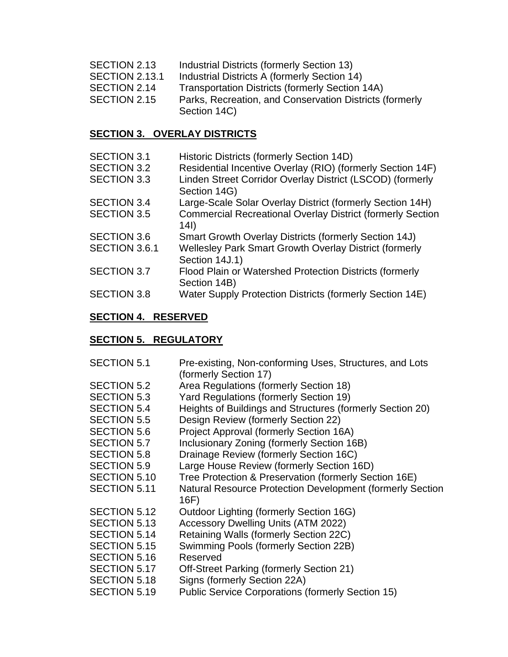- SECTION 2.13 Industrial Districts (formerly Section 13)
- SECTION 2.13.1 Industrial Districts A (formerly Section 14)
- SECTION 2.14 Transportation Districts (formerly Section 14A)
- SECTION 2.15 Parks, Recreation, and Conservation Districts (formerly Section 14C)

#### **SECTION 3. OVERLAY DISTRICTS**

| <b>SECTION 3.1</b> | Historic Districts (formerly Section 14D)                                 |
|--------------------|---------------------------------------------------------------------------|
| <b>SECTION 3.2</b> | Residential Incentive Overlay (RIO) (formerly Section 14F)                |
| <b>SECTION 3.3</b> | Linden Street Corridor Overlay District (LSCOD) (formerly<br>Section 14G) |
| <b>SECTION 3.4</b> | Large-Scale Solar Overlay District (formerly Section 14H)                 |
| <b>SECTION 3.5</b> | <b>Commercial Recreational Overlay District (formerly Section</b><br>(14) |
| <b>SECTION 3.6</b> | Smart Growth Overlay Districts (formerly Section 14J)                     |
| SECTION 3.6.1      | Wellesley Park Smart Growth Overlay District (formerly<br>Section 14J.1)  |
| <b>SECTION 3.7</b> | Flood Plain or Watershed Protection Districts (formerly<br>Section 14B)   |
| <b>SECTION 3.8</b> | Water Supply Protection Districts (formerly Section 14E)                  |

### **SECTION 4. RESERVED**

## **SECTION 5. REGULATORY**

| <b>SECTION 5.1</b>  | Pre-existing, Non-conforming Uses, Structures, and Lots   |
|---------------------|-----------------------------------------------------------|
|                     | (formerly Section 17)                                     |
| <b>SECTION 5.2</b>  | Area Regulations (formerly Section 18)                    |
| <b>SECTION 5.3</b>  | <b>Yard Regulations (formerly Section 19)</b>             |
| <b>SECTION 5.4</b>  | Heights of Buildings and Structures (formerly Section 20) |
| <b>SECTION 5.5</b>  | Design Review (formerly Section 22)                       |
| <b>SECTION 5.6</b>  | Project Approval (formerly Section 16A)                   |
| SECTION 5.7         | Inclusionary Zoning (formerly Section 16B)                |
| <b>SECTION 5.8</b>  | Drainage Review (formerly Section 16C)                    |
| <b>SECTION 5.9</b>  | Large House Review (formerly Section 16D)                 |
| <b>SECTION 5.10</b> | Tree Protection & Preservation (formerly Section 16E)     |
| SECTION 5.11        | Natural Resource Protection Development (formerly Section |
|                     | 16F)                                                      |
| SECTION 5.12        | Outdoor Lighting (formerly Section 16G)                   |
| <b>SECTION 5.13</b> | <b>Accessory Dwelling Units (ATM 2022)</b>                |
| <b>SECTION 5.14</b> | Retaining Walls (formerly Section 22C)                    |
| SECTION 5.15        | Swimming Pools (formerly Section 22B)                     |
| <b>SECTION 5.16</b> | Reserved                                                  |
| SECTION 5.17        | Off-Street Parking (formerly Section 21)                  |
| SECTION 5.18        | Signs (formerly Section 22A)                              |
| <b>SECTION 5.19</b> | <b>Public Service Corporations (formerly Section 15)</b>  |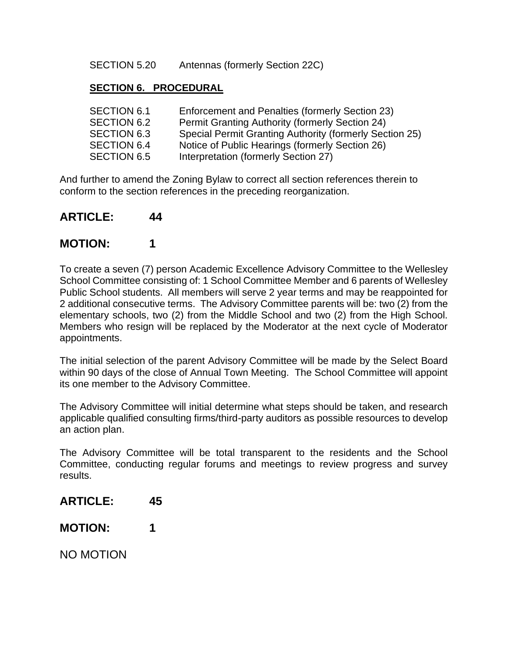SECTION 5.20 Antennas (formerly Section 22C)

#### **SECTION 6. PROCEDURAL**

| SECTION 6.1        | Enforcement and Penalties (formerly Section 23)         |
|--------------------|---------------------------------------------------------|
| SECTION 6.2        | <b>Permit Granting Authority (formerly Section 24)</b>  |
| <b>SECTION 6.3</b> | Special Permit Granting Authority (formerly Section 25) |
| SECTION 6.4        | Notice of Public Hearings (formerly Section 26)         |
| <b>SECTION 6.5</b> | Interpretation (formerly Section 27)                    |

And further to amend the Zoning Bylaw to correct all section references therein to conform to the section references in the preceding reorganization.

#### **ARTICLE: 44**

### **MOTION: 1**

To create a seven (7) person Academic Excellence Advisory Committee to the Wellesley School Committee consisting of: 1 School Committee Member and 6 parents of Wellesley Public School students. All members will serve 2 year terms and may be reappointed for 2 additional consecutive terms. The Advisory Committee parents will be: two (2) from the elementary schools, two (2) from the Middle School and two (2) from the High School. Members who resign will be replaced by the Moderator at the next cycle of Moderator appointments.

The initial selection of the parent Advisory Committee will be made by the Select Board within 90 days of the close of Annual Town Meeting. The School Committee will appoint its one member to the Advisory Committee.

The Advisory Committee will initial determine what steps should be taken, and research applicable qualified consulting firms/third-party auditors as possible resources to develop an action plan.

The Advisory Committee will be total transparent to the residents and the School Committee, conducting regular forums and meetings to review progress and survey results.

- **ARTICLE: 45**
- **MOTION: 1**

NO MOTION